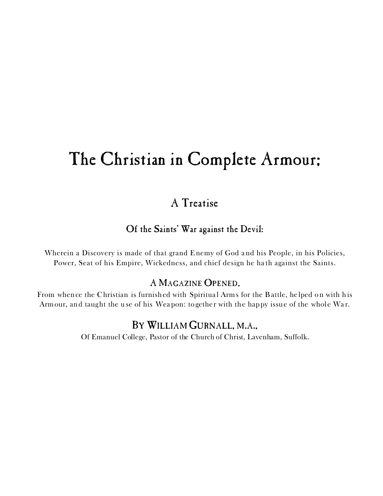# The Christian in Complete Armour;

## A Treatise

### Of the Saints' War against the Devil:

Wherein a Discovery is made of that grand Enemy of God and his People, in his Policies, Power, Seat of his Empire, Wickedness, and chief design he ha th against the Saints.

### A MAGAZINE OPENED,

From whence the Christian is furnished with Spiritual Arms for the Battle, helped on with his Armour, and taught the use of his Weapon: together with the happy issue of the whole War.

## BY WILLIAM GURNALL, M.A.,

Of Emanuel College, Pastor of the Church of Christ, Lavenham, Suffolk.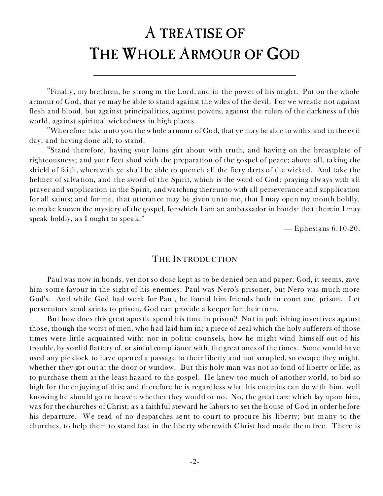# A TREATISE OF THE WHOLE ARMOUR OF GOD

*?Finally , my brethren, be strong in the Lord, and in the power of his might. Put on the whole armour of God, that ye may be able to stand against the wiles of the devil. For we wrestle not against flesh and blood, but against principalities, against powers, against the rulers of the darkness of this world, against spiritual wickedness in high places.*

*?Wherefore take unto you the whole a rmour of God, that ye may be able to withstand in the ev il day, and having done all, to stand.*

*?Stand therefore, having your loins girt about with truth, and having on the breastplate of righteousness; and your feet shod with the preparation of the gospel of peace; above all, taking the shield of faith, wherewith ye shall be able to quench all the fiery darts of the wicked. And take the helmet of salva tion, and the sword of the Spirit, which is the word of God: praying always with a ll prayer and supplication in the Spirit, and watching thereunto with all perseverance and supplication for all saints; and for me, that utterance may be given unto me, that I may open my mouth boldly, to make known the mystery of the gospel, for which I am an ambassador in bonds: that therein I may speak boldly, a s I ought to speak."*

— Ephesians 6:10-20.

#### THE INTRODUCTION

Paul was now in bonds, yet not so close kept as to be denied pen and paper; God, it seems, gave him some favour in the sight of his enemies: Paul was Nero's prisoner, but Nero was much more God's. And while God had work for Paul, he found him friends both in court and prison. Let persecutors send saints to prison, God can provide a keeper for their turn.

But how does this great apostle spend his time in prison? Not in publishing invectives against those, though the worst of men, who had laid him in; a piece of zeal which the holy sufferers of those times were little acquainted with: nor in politic counsels, how he might wind himself out of his trouble, by sordid flattery of, or sinful compliance with, the great ones of the times. Some would ha ve used any picklock to have opened a passage to their liberty and not scrupled, so escape they might, whether they got out at the door or window. But this holy man was not so fond of liberty or life, as to purchase them at the least hazard to the gospel. He knew too much of another world, to bid so high for the enjoying of this; and therefore he is regardless what his enemies can do with him, well knowing he should go to heaven whether they would or no. No, the great care which lay upon him, was for the churches of Christ; a s a faithful steward he labors to set the house of God in order before his departure. We read of no despatches sent to court to procure his liberty; but many to the churches, to help them to stand fast in the libe rty wherewith Christ had made them free. There is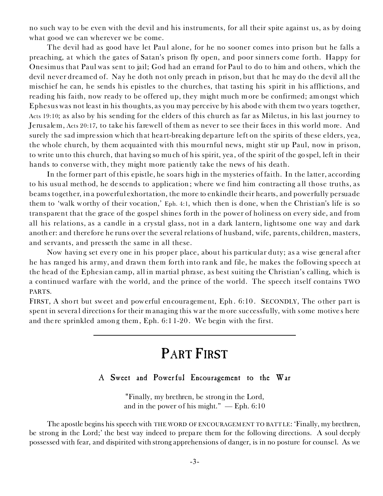no such way to be even with the devil and his instruments, for all their spite against us, as by doing what good we can wherever we be come.

The devil had as good have let Paul alone, for he no sooner comes into prison but he falls a preaching, at which the gates of Satan's prison fly open, and poor sinners come forth. Happy for Onesimus that Paul was sent to jail; God had an errand for Paul to do to him and others, which the devil never dreamed of. Nay he doth not only preach in prison, but that he may do the devil all the mischief he can, he sends his epistles to the churches, that tasting his spirit in his afflictions, and reading his faith, now ready to be offered up, they might much m ore be confirmed; am ongst which Ephesus was not least in his thoughts, as you may perceive by his abode with them two years together, Acts 19:10; as also by his sending for the elders of this church as far as Miletus, in his last journey to Jerusalem, Acts 20:17, to take his farewell of them as never to see their faces in this world more. And surely the sad impression which that hea rt-breaking departure left on the spirits of these elders, yea, the whole church, by them acquainted with this mournful news, might stir up Paul, now in prison, to write unto this church, that having so much of his spirit, yea, of the spirit of the gospel, left in their hands to converse with, they might more patiently take the news of his death.

In the former part of this epistle, he soars high in the mysteries of faith. In the latter, according to his usual method, he de scends to application; where we find him contracting all those truths, as beams together, in a powerful exhortation, the more to enkindle their hearts, and powerfully persuade them to 'walk worthy of their vocation,' Eph. 4:1, which then is done, when the Christian's life is so transparent that the grace of the gospel shines forth in the power of holiness on every side, and from all his relations, as a candle in a crystal glass, not in a dark lantern, lightsome one way and dark another: and therefore he runs over the several relations of husband, wife, parents, children, masters, and servants, and presseth the same in all these.

Now having set every one in his proper place, about his particular duty; as a wise general after he has ranged his army, and drawn them forth into rank and file, he makes the following speech at the head of the Ephesian camp, all in martial phrase, as best suiting the Christian's calling, which is a continued warfare with the world, and the prince of the world. The speech itself contains TWO PARTS.

FIRST, A short but sweet and powerful encouragement, Eph. 6:10. SECONDLY, The other part is spent in several directions for their managing this war the more successfully, with some motives here and the re sprinkled among them, Eph. 6:1 1-20. We begin with the first.

## PART FIRST

#### A Sweet and Powerful Encouragement to the War

*?Finally, my brethren, be strong in the Lord, and in the power of his might." — Eph. 6:10*

The apostle begins his speech with THE WORD OF ENCOURAGEM ENT TO BATTLE: *'Finally, my brethren, be strong in the Lord;'* the best way indeed to prepare them for the following directions. A soul deeply possessed with fear, and dispirited with strong apprehensions of danger, is in no posture for counsel. As we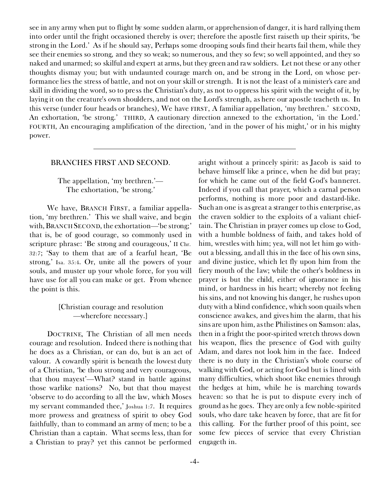see in any army when put to flight by some sudden alarm, or apprehension of danger, it is hard rallying them into order until the fright occasioned thereby is over; therefore the apostle first raiseth up their spirits, *'be strong in the Lord.'* As if he should say, Perhaps some drooping souls find their hearts fail them, while they see their enemies so strong, and they so weak; so numerous, and they so few; so well appointed, and they so naked and unarmed; so skilful and expert at arms, but they green and raw soldiers. Let not these or any other thoughts dismay you; but with undaunted courage march on, *and be strong in the Lord,* on whose performance lies the stress of battle, and not on your skill or strength. It is not the least of a minister's care and skill in dividing the word, so to press the Christian's duty, as not to oppress his spirit with the weight of it, by laying it on the creature's own shoulders, and not on the Lord's strength, as here our apostle teacheth us. In this verse (under four heads or branches), We have FIRST, A familiar appellation, *'my brethren.'* SECOND, An exhortation, *'be strong.'* THIRD, A cautionary direction annexed to the exhortation, *'in the Lord.'* FOURTH, An encouraging amplification of the direction, *'and in the power of his might,'* or in his mighty power.

#### BRANCHES FIRST AND SECOND.

*The appellation, 'my brethren.'— The exhortation, 'be strong.'*

We have, BRANCH FIRST, a familiar appellation, *'my brethren.'* This we shall waive, and begin with,BRANCH SECOND, the exhortation—*'be strong;'* that is, be of good courage, so commonly used in scripture phrase: 'Be strong and courageous,' II Chr. 32:7; 'Say to them that are of a fearful heart, 'Be strong,' Isa. 35:4. Or, unite all the powers of your souls, and muster up your whole force, for you will have use for all you can make or get. From whence the point is this.

#### *[Christian courage and resolution —wherefore necessary.]*

DOCTRINE, *The Christian of all men needs courage and resolution.* Indeed there is nothing that he does as a Christian, or can do, but is an act of valour. A cowardly spirit is beneath the lowest duty of a Christian, 'be thou strong and very courageous, that thou mayest'—What? stand in battle against those warlike nations? No, but that thou mayest 'observe to do according to all the law, which Moses my servant commanded thee,' Joshua 1:7. It requires more prowess and greatness of spirit to obey God faithfully, than to command an army of men; to be a Christian than a captain. What seems less, than for a Christian to pray? yet this cannot be performed

aright without a princely spirit: as Jacob is said to behave himself like a prince, when he did but pray; for which he came out of the field God's banneret. Indeed if you call that prayer, which a carnal person performs, nothing is more poor and dastard-like. Such an one is as great a stranger to this enterprise, as the craven soldier to the exploits of a valiant chieftain. The Christian in prayer comes up close to God, with a humble boldness of faith, and takes hold of him, wrestles with him; yea, will not let him go without a blessing, and all this in the face of his own sins, and divine justice, which let fly upon him from the fiery mouth of the law; while the other's boldness in prayer is but the child, either of ignorance in his mind, or hardness in his heart; whereby not feeling his sins, and not knowing his danger, he rushes upon duty with a blind confidence, which soon quails when conscience awakes, and gives him the alarm, that his sins are upon him, as the Philistines on Samson: alas, then in a fright the poor-spirited wretch throws down his weapon, flies the presence of God with guilty Adam, and dares not look him in the face. Indeed there is no duty in the Christian's whole course of walking with God, or acting for God but is lined with many difficulties, which shoot like enemies through the hedges at him, while he is marching towards heaven: so that he is put to dispute every inch of ground as he goes. They are only a few noble-spirited souls, who dare take heaven by force, that are fit for this calling. For the further proof of this point, see some few pieces of service that every Christian engageth in.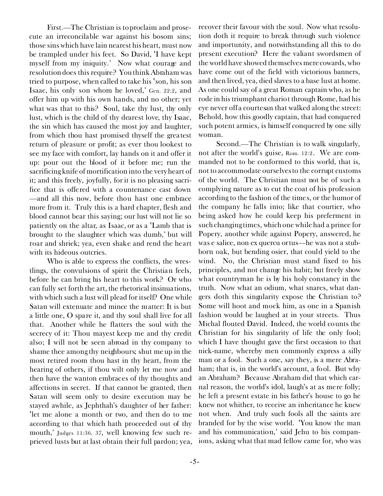*First.—*The Christian is to*proclaim and prosecute an irreconcilable war against his bosom sins;* those sins which have lain nearest his heart, must now be trampled under his feet. So David, <I have kept myself from my iniquity.' Now what courage and resolution does this require? You think Abraham was tried to purpose, when called to take his 'son, his son Isaac, his only son whom he loved,' Gen. 22:2, and offer him up with his own hands, and no other; yet what was that to this? Soul, take thy lust, thy only lust, which is the child of thy dearest love, thy Isaac, the sin which has caused the most joy and laughter, from which thou hast promised thyself the greatest return of pleasure or profit; as ever thou lookest to see my face with comfort, lay hands on it and offer it up: pour out the blood of it before me; run the sacrificing knife of mortification into the very heart of it; and this freely, joyfully, for it is no pleasing sacrifice that is offered with a countenance cast down —and all this now, before thou hast one embrace more from it. Truly this is a hard chapter, flesh and blood cannot bear this saying; our lust will not lie so patiently on the altar, as Isaac, or as a <Lamb that is brought to the slaughter which was dumb,' but will roar and shriek; yea, even shake and rend the heart with its hideous outcries.

Who is able to express the conflicts, the wrestlings, the convulsions of spirit the Christian feels, before he can bring his heart to this work? Or who can fully set forth the art, the rhetorical insinuations, with which such a lust will plead for itself? One while Satan will extenuate and mince the matter: It is but a little one, O spare it, and thy soul shall live for all that. Another while he flatters the soul with the secrecy of it: Thou mayest keep me and thy credit also; I will not be seen abroad in thy company to shame thee among thy neighbours; shut me up in the most retired room thou hast in thy heart, from the hearing of others, if thou wilt only let me now and then have the wanton embraces of thy thoughts and affections in secret. If that cannot be granted, then Satan will seem only to desire execution may be stayed awhile, as Jephthah's daughter of her father: <let me alone a month or two, and then do to me according to that which hath proceeded out of thy mouth,' Judges 11:36, 37, well knowing few such reprieved lusts but at last obtain their full pardon; yea,

recover their favour with the soul. Now what resolution doth it require to break through such violence and importunity, and notwithstanding all this to do present execution? Here the valiant swordsmen of the world have showed themselves mere cowards, who have come out of the field with victorious banners, and then lived, yea, died slaves to a base lust at home. As one could say of a great Roman captain who, as he rode in his triumphant chariot through Rome, had his eye never off a courtesan that walked along the street: Behold, how this goodly captain, that had conquered such potent armies, is himself conquered by one silly woman.

*Second.—*The Christian is to *walk singularly, not after the world's guise,* Rom. 12:2. We are commanded not to be conformed to this world, that is, not to accommodate ourselves to the corrupt customs of the world. The Christian must not be of such a complying nature as to cut the coat of his profession according to the fashion of the times, or the humor of the company he falls into; like that courtier, who being asked how he could keep his preferment in such changing times, which one while had a prince for Popery, another while against Popery, answered, he was *e salice, non ex quercu ortus—*he was not a stubborn oak, but bending osier, that could yield to the wind. No, the Christian must stand fixed to his principles, and not change his habit; but freely show what countryman he is by his holy constancy in the truth. Now what an odium, what snares, what dangers doth this singularity expose the Christian to? Some will hoot and mock him, as one in a Spanish fashion would be laughed at in your streets. Thus Michal flouted David. Indeed, the world counts the Christian for his singularity of life the only fool; which I have thought gave the first occasion to that nick-name, whereby men commonly express a silly man or a fool. Such a one, say they, is a mere Abraham; that is, in the world's account, a fool. But why an Abraham? Because Abraham did that which carnal reason, the world's idol, laugh's at as mere folly; he left a present estate in his father's house to go he knew not whither, to receive an inheritance he knew not when. And truly such fools all the saints are branded for by the wise world. <You know the man and his communication,' said Jehu to his companions, asking what that mad fellow came for, who was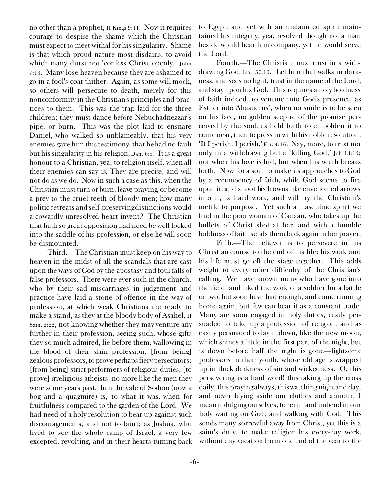no other than a prophet, II Kings 9:11. Now it requires courage to despise the shame which the Christian must expect to meet withal for his singularity. Shame is that which proud nature most disdains, to avoid which many durst not 'confess Christ openly,' John 7:13. Many lose heaven because they are ashamed to go in a fool's coat thither. Again, as some will mock, so others will persecute to death, merely for this nonconformity in the Christian's principles and practices to them. This was the trap laid for the three children; they must dance before Nebuchadnezzar's pipe, or burn. This was the plot laid to ensnare Daniel, who walked so unblameably, that his very enemies gave him this testimony, that he had no fault but his singularity in his religion, Dan. 6:5. It is a great honour to a Christian, yea, to religion itself, when all their enemies can say is, They are precise, and will not do as we do. Now in such a case as this, when the Christian must turn or burn, leave praying, or become a prey to the cruel teeth of bloody men; how many politic retreats and self-preserving distinctions would a cowardly unresolved heart invent? The Christian that hath so great opposition had need be well locked into the saddle of his profession, or else he will soon be dismounted.

*Third.—*The Christian must *keep on his way to heaven* in the midst of all the scandals that are cast upon the ways of God by the apostasy and foul falls of false professors. There were ever such in the church, who by their sad miscarriages in judgement and practice have laid a stone of offence in the way of profession, at which weak Christians are ready to make a stand, as they at the bloody body of Asahel, II Sam. 2:22, not knowing whether they may venture any further in their profession, seeing such, whose gifts they so much admired, lie before them, wallowing in the blood of their slain profession: [from being] zealous professors, to prove perhaps fiery persecutors; [from being] strict performers of religious duties, [to prove] irreligious atheists: no more like the men they were some years past, than the vale of Sodom (now a bog and a quagmire) is, to what it was, when for fruitfulness compared to the garden of the Lord. We had need of a holy resolution to bear up against such discouragements, and not to faint; as Joshua, who lived to see the whole camp of Israel, a very few excepted, revolting, and in their hearts turning back

to Egypt, and yet with an undaunted spirit maintained his integrity, yea, resolved though not a man beside would bear him company, yet he would serve the Lord.

*Fourth.—*The Christian must *trust in a withdrawing God,* Isa. 50:10. Let him that walks in darkness, and sees no light, trust in the name of the Lord, and stay upon his God. This requires a holy boldness of faith indeed, to venture into God's presence, as Esther into Ahasuerus', when no smile is to be seen on his face, no golden sceptre of the promise perceived by the soul, as held forth to embolden it to come near, then to press in with this noble resolution, <If I perish, I perish,' Est. 4:16. Nay, more, to trust not only in a withdrawing but a 'killing  $God$ ,' Job 13:15; not when his love is hid, but when his wrath breaks forth. Now for a soul to make its approaches to God by a recumbency of faith, while God seems to fire upon it, and shoot his frowns like envenomed arrows into it, is hard work, and will try the Christian's mettle to purpose. Yet such a masculine spirit we find in the poor woman of Canaan, who takes up the bullets of Christ shot at her, and with a humble boldness of faith sends them back again in her prayer.

*Fifth.—*The believer is to *persevere in his Christian course to the end of his life:* his work and his life must go off the stage together. This adds weight to every other difficulty of the Christian's calling. We have known many who have gone into the field, and liked the work of a soldier for a battle or two, but soon have had enough, and come running home again, but few can bear it as a constant trade. Many are soon engaged in holy duties, easily persuaded to take up a profession of religion, and as easily persuaded to lay it down, like the new moon, which shines a little in the first part of the night, but is down before half the night is gone—lightsome professors in their youth, whose old age is wrapped up in thick darkness of sin and wickedness. O, this persevering is a hard word! this taking up the cross daily, this praying always, this watching night and day, and never laying aside our clothes and armour, I mean indulging ourselves, to remit and unbend in our holy waiting on God, and walking with God. This sends many sorrowful away from Christ, yet this is a saint's duty, to make religion his every-day work, without any vacation from one end of the year to the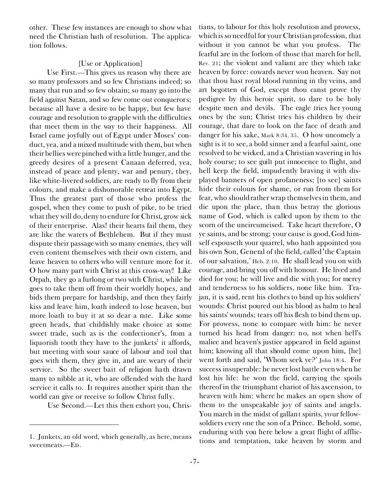other. These few instances are enough to show what need the Christian hath of resolution. The application follows.

#### *[Use or Application]*

*Use First.—*This gives us reason why there are so many professors and so few Christians indeed; so many that run and so few obtain; so many go into the field against Satan, and so few come out conquerors; because all have a desire to be happy, but few have courage and resolution to grapple with the difficulties that meet them in the way to their happiness. All Israel came joyfully out of Egypt under Moses' conduct, yea, and a mixed multitude with them, but when their bellies were pinched with a little hunger, and the greedy desires of a present Canaan deferred, yea, instead of peace and plenty, war and penury, they, like white-livered soldiers, are ready to fly from their colours, and make a dishonorable retreat into Egypt. Thus the greatest part of those who profess the gospel, when they come to push of pike, to be tried what they will do, deny to endure for Christ, grow sick of their enterprise. Alas! their hearts fail them, they are like the waters of Bethlehem. But if they must dispute their passage with so many enemies, they will even content themselves with their own cistern, and leave heaven to others who will venture more for it. O how many part with Christ at this cross-way! Like Orpah, they go a furlong or two with Christ, while he goes to take them off from their worldly hopes, and bids them prepare for hardship, and then they fairly kiss and leave him, loath indeed to lose heaven, but more loath to buy it at so dear a rate. Like some green heads, that childishly make choice at some sweet trade, such as is the confectioner's, from a liquorish tooth they have to the junkets<sup>1</sup> it affords, but meeting with sour sauce of labour and toil that goes with them, they give in, and are weary of their service. So the sweet bait of religion hath drawn many to nibble at it, who are offended with the hard service it calls to. It requires another spirit than the world can give or receive to follow Christ fully.

*Use Second.—*Let this then exhort you, Chris-

tians, to labour for this holy resolution and prowess, which is so needful for your Christian profession, that without it you cannot be what you profess. *The fearful* are in the forlorn of those that march for hell, Rev. 21; the violent and valiant are they which take heaven by force: cowards never won heaven. Say not that thou hast royal blood running in thy veins, and art begotten of God, except thou canst prove thy pedigree by this heroic spirit, to dare to be holy despite men and devils. The eagle tries her young ones by the sun; Christ tries his children by their courage, that dare to look on the face of death and danger for his sake, Mark 8:34, 35. O how uncomely a sight is it to see, a bold sinner and a fearful saint, one resolved to be wicked, and a Christian wavering in his holy course; to see guilt put innocence to flight, and hell keep the field, impudently braving it with displayed banners of open profaneness; [to see] saints hide their colours for shame, or run from them for fear, who should rather wrap themselves in them, and die upon the place, than thus betray the glorious name of God, which is called upon by them to the scorn of the uncircumcised. Take heart therefore, O ye saints, and be strong; your cause is good, God himself espouseth your quarrel, who hath appointed you his own Son, General of the field, called 'the Captain of our salvation,' Heb. 2:10. He shall lead you on with courage, and bring you off with honour. He lived and died for you; he will live and die with you; for mercy and tenderness to his soldiers, none like him. Trajan, it is said, rent his clothes to bind up his soldiers' wounds: Christ poured out his blood as balm to heal his saints' wounds; tears off his flesh to bind them up. For prowess, none to compare with him: he never turned his head from danger: no, not when hell's malice and heaven's justice appeared in field against him; knowing all that should come upon him, [he] went forth and said, <Whom seek ye?' John 18:4. For success insuperable: he never lost battle even when he lost his life: he won the field, carrying the spoils thereof in the triumphant chariot of his ascension, to heaven with him: where he makes an open show of them to the unspeakable joy of saints and angels. You march in the midst of gallant spirits, your fellowsoldiers every one the son of a Prince. Behold, some, enduring with you here below a great flight of afflic-

<sup>1.</sup> Junkets, an old word, which generally, as here, means tions and temptation, take heaven by storm and 1. The *sweetmeats.*—ED.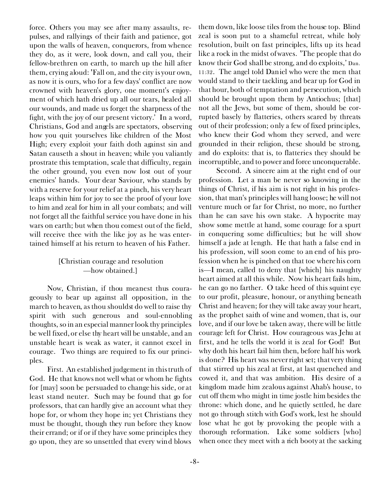force. Others you may see after many assaults, repulses, and rallyings of their faith and patience, got upon the walls of heaven, conquerors, from whence they do, as it were, look down, and call you, their fellow-brethren on earth, to march up the hill after them, crying aloud: <Fall on, and the city is your own, as now it is ours, who for a few days' conflict are now crowned with heaven's glory, one moment's enjoyment of which hath dried up all our tears, healed all our wounds, and made us forget the sharpness of the fight, with the joy of our present victory.' In a word, Christians, God and angels are spectators, observing how you quit yourselves like children of the Most High; every exploit your faith doth against sin and Satan causeth a shout in heaven; while you valiantly prostrate this temptation, scale that difficulty, regain the other ground, you even now lost out of your enemies' hands. Your dear Saviour, who stands by with a reserve for your relief at a pinch, his very heart leaps within him for joy to see the proof of your love to him and zeal for him in all your combats; and will not forget all the faithful service you have done in his wars on earth; but when thou comest out of the field, will receive thee with the like joy as he was entertained himself at his return to heaven of his Father.

#### *[Christian courage and resolution —how obtained.]*

Now, Christian, if thou meanest thus courageously to bear up against all opposition, in the march to heaven, as thou shouldst do well to raise thy spirit with such generous and soul-ennobling thoughts, so in an especial manner look thy principles be well fixed, or else thy heart will be unstable, and an unstable heart is weak as water, it cannot excel in courage. Two things are required to fix our principles.

*First. An established judgement in this truth of God.* He that knows not well what or whom he fights for [may] soon be persuaded to change his side, or at least stand neuter. Such may be found that go for professors, that can hardly give an account what they hope for, or whom they hope in; yet Christians they must be thought, though they run before they know their errand; or if or if they have some principles they go upon, they are so unsettled that every wind blows

them down, like loose tiles from the house top. Blind zeal is soon put to a shameful retreat, while holy resolution, built on fast principles, lifts up its head like a rock in the midst of waves. The people that do know their God shall be strong, and do exploits,' Dan. 11:32. The angel told Daniel who were the men that would stand to their tackling, and bear up for God in that hour, both of temptation and persecution, which should be brought upon them by Antiochus; [that] not all the Jews, but some of them, should be corrupted basely by flatteries, others scared by threats out of their profession; only a few of fixed principles, who knew their God whom they served, and were grounded in their religion, these should be strong, and do exploits: that is, to flatteries they should be incorruptible, and to power and force unconquerable.

*Second. A sincere aim at the right end of our profession.* Let a man be never so knowing in the things of Christ, if his aim is not right in his profession, that man's principles will hang loose; he will not venture much or far for Christ, no more, no further than he can save his own stake. A hypocrite may show some mettle at hand, some courage for a spurt in conquering some difficulties; but he will show himself a jade at length. He that hath a false end in his profession, will soon come to an end of his profession when he is pinched on that toe where his corn is—I mean, called to deny that [which] his naughty heart aimed at all this while. Now his heart fails him, he can go no farther. O take heed of this squint eye to our profit, pleasure, honour, or anything beneath Christ and heaven; for they will take away your heart, as the prophet saith of wine and women, that is, our love, and if our love be taken away, there will be little courage left for Christ. How courageous was Jehu at first, and he tells the world it is zeal for God! But why doth his heart fail him then, before half his work is done? His heart was never right set; that very thing that stirred up his zeal at first, at last quenched and cowed it, and *that* was ambition. His desire of a kingdom made him zealous against Ahab's house, to cut off them who might in time jostle him besides the throne: which done, and he quietly settled, he dare not go through stitch with God's work, lest he should lose what he got by provoking the people with a thorough reformation. Like some soldiers [who] when once they meet with a rich booty at the sacking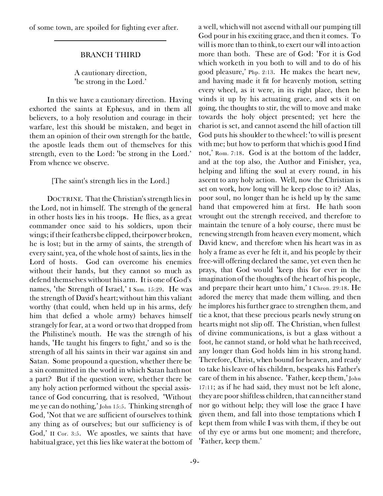of some town, are spoiled for fighting ever after.

#### BRANCH THIRD

*A cautionary direction, <be strong in the Lord.'*

In this we have *a cautionary direction.* Having exhorted the saints at Ephesus, and in them all believers, to a holy resolution and courage in their warfare, lest this should be mistaken, and beget in them an opinion of their own strength for the battle, the apostle leads them out of themselves for this strength, even to the Lord: *<be strong in the Lord.'* From whence we observe.

*[The saint's strength lies in the Lord.]*

DOCTRINE. *That the Christian's strength lies in the Lord, not in himself.* The strength of the general in other hosts lies in his troops. He flies, as a great commander once said to his soldiers, upon their wings; if their feathers be clipped, their power broken, he is lost; but in the army of saints, the strength of every saint, yea, of the whole host of saints, lies in the Lord of hosts. God can overcome his enemies without their hands, but they cannot so much as defend themselves without his arm. It is one of God's names, 'the Strength of Israel,' I Sam. 15:29. He was the strength of David's heart; without him this valiant worthy (that could, when held up in his arms, defy him that defied a whole army) behaves himself strangely for fear, at a word or two that dropped from the Philistine's mouth. He was the strength of his hands, 'He taught his fingers to fight,' and so is the strength of all his saints in their war against sin and Satan. Some propound a question, whether there be a sin committed in the world in which Satan hath not a part? But if the question were, whether there be any holy action performed without the special assistance of God concurring, that is resolved, <Without me ye can do nothing,' John 15:5. Thinking strength of God, 'Not that we are sufficient of ourselves to think any thing as of ourselves; but our sufficiency is of God,' II Cor. 3:5. We apostles, we saints that have habitual grace, yet this lies like water at the bottom of a well, which will not ascend with all our pumping till God pour in his exciting grace, and then it comes. To will is more than to think, to exert our will into action more than both. These are of God: 'For it is God which worketh in you both to will and to do of his good pleasure,' Php. 2:13. He makes the heart new, and having made it fit for heavenly motion, setting every wheel, as it were, in its right place, then he winds it up by his actuating grace, and sets it on going, the thoughts to stir, the will to move and make towards the holy object presented; yet here the chariot is set, and cannot ascend the hill of action till God puts his shoulder to the wheel: 'to will is present with me; but how to perform that which is good I find not,' Rom. 7:18. God is at the bottom of the ladder, and at the top also, the Author and Finisher, yea, helping and lifting the soul at every round, in his ascent to any holy action. Well, now the Christian is set on work, how long will he keep close to it? Alas, poor soul, no longer than he is held up by the same hand that empowered him at first. He hath soon wrought out the strength received, and therefore to maintain the tenure of a holy course, there must be renewing strength from heaven every moment, which David knew, and therefore when his heart was in as holy a frame as ever he felt it, and his people by their free-will offering declared the same, yet even then he prays, that God would 'keep this for ever in the imagination of the thoughts of the heart of his people, and prepare their heart unto him,' I Chron. 29:18. He adored the mercy that made them willing, and then he implores his further grace to strengthen them, and tie a knot, that these precious pearls newly strung on hearts might not slip off. The Christian, when fullest of divine communications, is but a glass without a foot, he cannot stand, or hold what he hath received, any longer than God holds him in his strong hand. Therefore, Christ, when bound for heaven, and ready to take his leave of his children, bespeaks his Father's care of them in his absence. <Father, keep them,' John 17:11; as if he had said, they must not be left alone, they are poor shiftless children, that can neither stand nor go without help; they will lose the grace I have given them, and fall into those temptations which I kept them from while I was with them, if they be out of thy eye or arms but one moment; and therefore, <Father, keep them.'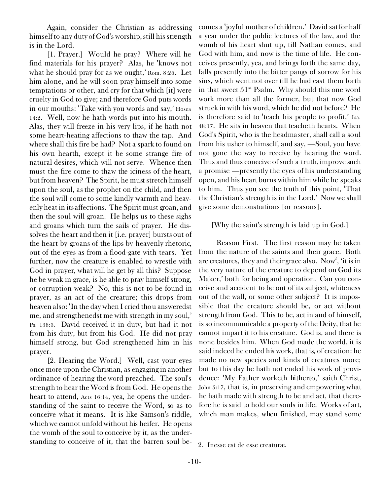Again, consider the Christian as addressing himself*to any duty of God's worship, still his strength is in the Lord.*

*[1. Prayer.]* Would he pray? Where will he find materials for his prayer? Alas, he 'knows not what he should pray for as we ought,' Rom. 8:26. Let him alone, and he will soon pray himself into some temptations or other, and cry for that which [it] were cruelty in God to give; and therefore God puts words in our mouths: 'Take with you words and say,' Hosea 14:2. Well, now he hath words put into his mouth. Alas, they will freeze in his very lips, if he hath not some heart-heating affections to thaw the tap. And where shall this fire be had? Not a spark to found on his own hearth, except it be some strange fire of natural desires, which will not serve. Whence then must the fire come to thaw the iciness of the heart, but from heaven? The Spirit, he must stretch himself upon the soul, as the prophet on the child, and then the soul will come to some kindly warmth and heavenly heat in its affections. The Spirit must groan, and then the soul will groan. He helps us to these sighs and groans which turn the sails of prayer. He dissolves the heart and then it *[i.e.* prayer] bursts out of the heart by groans of the lips by heavenly rhetoric, out of the eyes as from a flood-gate with tears. Yet further, now the creature is enabled to wrestle with God in prayer, what will he get by all this? Suppose he be weak in grace, is he able to pray *himself* strong, or corruption weak? No, this is not to be found in prayer, as an act of the creature; this drops from heaven also: 'In the day when I cried thou answeredst me, and strengthenedst me with strength in my soul,' Ps. 138:3. David received it *in* duty, but had it not *from* his duty, but from his God. He did not pray himself strong, but God strengthened him in his prayer.

*[2. Hearing the Word.]* Well, cast your eyes once more upon the Christian, as engaging in another ordinance *of hearing the word preached.* The soul's strength to hear the Word is from God. He opens the heart to attend, Acts 16:14, yea, he opens the understanding of the saint to receive the Word, so as to conceive what it means. It is like Samson's riddle, which we cannot unfold without his heifer. He opens the womb of the soul to conceive by it, as the understanding to conceive of it, that the barren soul becomes a <joyful mother of children.' David sat for half a year under the public lectures of the law, and the womb of his heart shut up, till Nathan comes, and God with him, and *now* is the time of life. He conceives presently, yea, and brings forth the same day, falls presently into the bitter pangs of sorrow for his sins, which went not over till he had cast them forth in that sweet  $51^{st}$  Psalm. Why should this one word work more than all the former, but that now God struck in with his word, which he did not before? He is therefore said to 'teach his people to profit,' Isa. 48:17. He sits in heaven that teacheth hearts. When God's Spirit, who is the headmaster, shall call a soul from his usher to himself, and say, —Soul, you have not gone the way to receive by hearing the word. Thus and thus conceive of such a truth, improve such a promise —presently the eyes of his understanding open, and his heart burns within him while he speaks to him. Thus you see the truth of this point, *<That the Christian's strength is in the Lord.'* Now we shall give some demonstrations [or reasons].

#### *[Why the saint's strength is laid up in God.]*

*Reason First.* The first reason may be taken from *the nature of the saints and their grace.* Both are creatures, they and their grace also. Now<sup>2</sup>, 'it is in the very nature of the creature to depend on God its Maker,' both for being and operation. Can you conceive and accident to be out of its subject, whiteness out of the wall, or some other subject? It is impossible that the creature should be, or act without strength from God. This to be, act in and of himself, is so incommunicable a property of the Deity, that he cannot impart it to his creature. God is, and there is none besides him. When God made the world, it is said indeed he ended his work, that is, of creation: he made no new species and kinds of creatures more; but to this day he hath not ended his work of providence: <My Father worketh hitherto,' saith Christ, John 5:17, that is, in preserving and empowering what he hath made with strength to be and act, that therefore he is said to hold our souls in life. Works of art, which man makes, when finished, may stand some

<sup>2.</sup> *Inesse est de esse creaturæ.*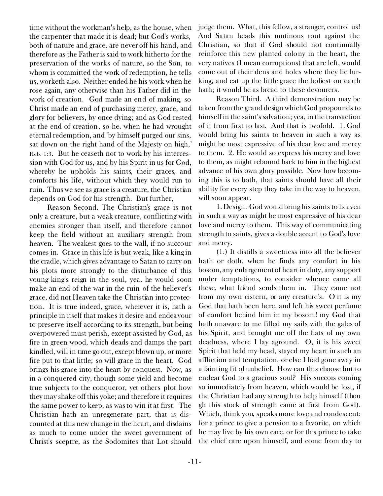time without the workman's help, as the house, when the carpenter that made it is dead; but God's works, both of nature and grace, are never off his hand, and therefore as the Father is said to work hitherto for the preservation of the works of nature, so the Son, to whom is committed the work of redemption, he tells us, worketh also. Neither ended he his work when he rose again, any otherwise than his Father did in the work of creation. God made an end of making, so Christ made an end of purchasing mercy, grace, and glory for believers, by once dying; and as God rested at the end of creation, so he, when he had wrought eternal redemption, and 'by himself purged our sins, sat down on the right hand of the Majesty on high,' Heb. 1:3. But he ceaseth not to work by his intercession with God for us, and by his Spirit in us for God, whereby he upholds his saints, their graces, and comforts his life, without which they would run to ruin. Thus we see as grace is a creature, the Christian depends on God for his strength. But further,

*Reason Second.* The Christian's grace is not only a creature, *but a weak creature,* conflicting with enemies stronger than itself, and therefore cannot keep the field without an auxiliary strength from heaven. The weakest goes to the wall, if no succour comes in. Grace in this life is but weak, like a king in the cradle, which gives advantage to Satan to carry on his plots more strongly to the disturbance of this young king's reign in the soul, yea, he would soon make an end of the war in the ruin of the believer's grace, did not Heaven take the Christian into protection. It is true indeed, grace, wherever it is, hath a principle in itself that makes it desire and endeavour to preserve itself according to its strength, but being overpowered must perish, except assisted by God, as fire in green wood, which deads and damps the part kindled, will in time go out, except blown up, or more fire put to that little; so will grace in the heart. God brings his grace into the heart by conquest. Now, as in a conquered city, though some yield and become true subjects to the conqueror, yet others plot how they may shake off this yoke; and therefore it requires the same power to keep, as was to win it at first. The Christian hath an unregenerate part, that is discounted at this new change in the heart, and disdains as much to come under the sweet government of Christ's sceptre, as the Sodomites that Lot should

judge them. What, this fellow, a stranger, control us! And Satan heads this mutinous rout against the Christian, so that if God should not continually reinforce this new planted colony in the heart, the very natives (I mean corruptions) that are left, would come out of their dens and holes where they lie lurking, and eat up the little grace the holiest on earth hath; it would be as bread to these devourers.

*Reason Third.* A third demonstration may be taken from *the grand design which God propounds to himself in the saint's salvation;* yea, in the transaction of it from first to last. And that is twofold. 1. God would bring his saints to heaven in such a way as might be most expressive of his dear love and mercy to them. 2. He would so express his mercy and love to them, as might rebound back to him in the highest advance of his own glory possible. Now how becoming this is to both, that saints should have all their ability for every step they take in the way to heaven, will soon appear.

1. *Design.* God would bring his saints to heaven in such a way as might be most expressive of his dear love and mercy to them. This way of communicating strength to saints, gives a double accent to God's love and mercy.

(1.) It distills a sweetness into all the believer hath or doth, when he finds any comfort in his bosom, any enlargement of heart in duty, any support under temptations, to consider whence came all these, what friend sends them in. They came not from my own cistern, or any creature's. O it is my God that hath been here, and left his sweet perfume of comfort behind him in my bosom! my God that hath unaware to me filled my sails with the gales of his Spirit, and brought me off the flats of my own deadness, where I lay aground. O, it is his sweet Spirit that held my head, stayed my heart in such an affliction and temptation, or else I had gone away in a fainting fit of unbelief. How can this choose but to endear God to a gracious soul? His succors coming so immediately from heaven, which would be lost, if the Christian had any strength to help himself (thou gh this stock of strength came at first from God). Which, think you, speaks more love and condescent: for a prince to give a pension to a favorite, on which he may live by his own care, or for this prince to take the chief care upon himself, and come from day to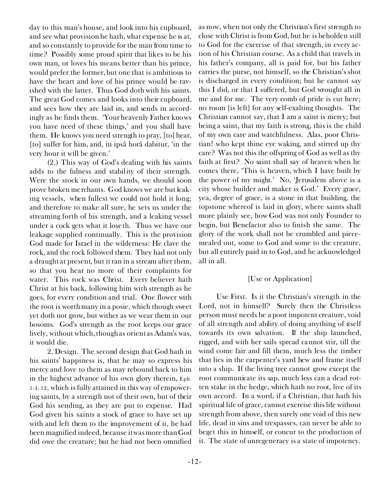day to this man's house, and look into his cupboard, and see what provision he hath, what expense he is at, and so constantly to provide for the man from time to time? Possibly some proud spirit that likes to be his own man, or loves his means better than his prince, would prefer the former, but one that is ambitious to have the heart and love of his prince would be ravished with the latter. Thus God doth with his saints. The great God comes and looks into their cupboard, and sees how they are laid in, and sends in accordingly as he finds them. 'Your heavenly Father knows you have need of these things,' and you shall have them. He knows you need strength to pray, [to] hear, [to] suffer for him, and, *in ipsâ horâ dabitur,* 'in the very hour it will be given.'

(2.) This way of God's dealing with his saints adds to the fulness and stability of their strength. Were the stock in our own hands, we should soon prove broken merchants. God knows we are but leaking vessels, when fullest we could not hold it long; and therefore to make all sure, he sets us under the streaming forth of his strength, and a leaking vessel under a cock gets what it loseth. Thus we have our leakage supplied continually. This is the provision God made for Israel in the wilderness: He clave the rock, and the rock followed them. They had not only a draught at present, but it ran in a stream after them, so that you hear no more of their complaints for water. This rock was Christ. Every believer hath Christ at his back, following him with strength as he goes, for every condition and trial. One flower with the root is worth many in a posie, which though sweet yet doth not grow, but wither as we wear them in our bosoms. God's strength as the root keeps our grace lively, without which, though as orient as Adam's was, it would die.

2. *Design.* The second design that God hath in his saints' happiness is, that he may so express his mercy and love to them as may rebound back to him in the highest advance of his own glory therein, Eph. 1:4, 12, which is fully attained in this way of empowering saints, by a strength not of their own, but of their God his sending, as they are put to expense. Had God given his saints a stock of grace to have set up with and left them to the improvement of it, he had been *magnified* indeed, because it was more than God did owe the creature; but he had not been *omnified*

as now, when not only the Christian's first strength to close with Christ is from God, but he is beholden still to God for the exercise of that strength, in every action of his Christian course. As a child that travels in his father's company, all is paid for, but his father carries the purse, not himself, so the Christian's shot is discharged in every condition; but he cannot say this I did, or that I suffered, but God wrought all in me and for me. The very comb of pride is cut here; no room [is left] for any self-exalting thoughts. The Christian cannot say, that I am a saint is mercy; but being a saint, that my faith is strong, this is the child of my own care and watchfulness. Alas, poor Christian! who kept thine eye waking, and stirred up thy care? Was not this the offspring of God as well as thy faith at first? No saint shall say of heaven when he comes there, 'This is heaven, which I have built by the power of my might.' No, 'Jerusalem above is a city whose builder and maker is God.' Every grace, yea, degree of grace, is a stone in that building, the topstone whereof is laid in glory, where saints shall more plainly see, how God was not only Founder to begin, but Benefactor also to finish the same. The glory of the work shall not be crumbled and piecemealed out, some to God and some to the creature, but all entirely paid in to God, and he acknowledged all in all.

#### *[Use or Application]*

*Use First.* Is it the Christian's strength in the Lord, not in himself? Surely then the Christless person must needs be a poor impotent creature, void of all strength and ability of doing anything of itself towards its own salvation. If the ship launched, rigged, and with her sails spread cannot stir, till the wind come fair and fill them, much less the timber that lies in the carpenter's yard hew and frame itself into a ship. If the living tree cannot grow except the root communicate its sap, much less can a dead rotten stake in the hedge, which hath no root, live of its own accord. In a word, if a Christian, that hath his spiritual life of grace, cannot exercise this life without strength from above, then surely one void of this new life, dead in sins and trespasses, can never be able to beget this in himself, or concur to the production of it. The state of unregeneracy is a state of impotency.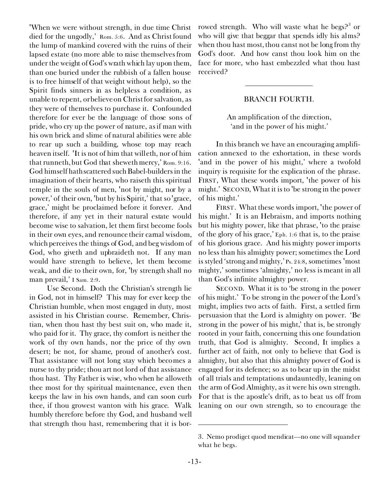<When we were without strength, in due time Christ died for the ungodly,' Rom. 5:6. And as Christ found the lump of mankind covered with the ruins of their lapsed estate (no more able to raise themselves from under the weight of God's wrath which lay upon them, than one buried under the rubbish of a fallen house is to free himself of that weight without help), so the Spirit finds sinners in as helpless a condition, as unable to repent, or believe on Christ for salvation, as they were of themselves to purchase it. Confounded therefore for ever be the language of those sons of pride, who cry up the power of nature, as if man with his own brick and slime of natural abilities were able to rear up such a building, whose top may reach heaven itself. 'It is not of him that willeth, nor of him that runneth, but God that sheweth mercy,' Rom. 9:16. God himself hath scattered such Babel-builders in the imagination of their hearts, who raiseth this spiritual temple in the souls of men, 'not by might, nor by a power,' of their own, 'but by his Spirit,' that so 'grace, grace,' might be proclaimed before it forever. And therefore, if any yet in their natural estate would become wise to salvation, let them first become fools in their own eyes, and renounce their carnal wisdom, which perceives the things of God, and beg wisdom of God, who giveth and upbraideth not. If any man would have strength to believe, let them become weak, and die to their own, for, 'by strength shall no man prevail,' I Sam. 2:9.

*Use Second.* Doth the Christian's strength lie in God, not in himself? This may for ever keep the Christian humble, when most engaged in duty, most assisted in his Christian course. Remember, Christian, when thou hast thy best suit on, who made it, who paid for it. Thy grace, thy comfort is neither the work of thy own hands, nor the price of thy own desert; be not, for shame, proud of another's cost. That assistance will not long stay which becomes a nurse to thy pride; thou art not lord of that assistance thou hast. Thy Father is wise, who when he alloweth thee most for thy spiritual maintenance, even then keeps the law in his own hands, and can soon curb thee, if thou growest wanton with his grace. Walk humbly therefore before thy God, and husband well that strength thou hast, remembering that it is bor-

rowed strength. Who will waste what he begs?<sup>3</sup> or who will give that beggar that spends idly his alms? when thou hast most, thou canst not be long from thy God's door. And how canst thou look him on the face for more, who hast embezzled what thou hast received?

#### BRANCH FOURTH.

*An amplification of the direction, 'and in the power of his might.'*

In this branch we have *an encouraging amplification annexed to the exhortation,* in these words *<and in the power of his might,'* where a twofold inquiry is requisite for the explication of the phrase. FIRST, What these words import, *<the power of his might.'* SECOND, What it is to *<be strong in the power of his might.'*

FIRST. What these words import, *<the power of his might.'* It is an Hebraism, and imports nothing but his mighty power, like that phrase, 'to the praise of the glory of his grace,' Eph. 1:6 that is, to the praise of his glorious grace. And his mighty power imports no less than his almighty power; sometimes the Lord is styled 'strong and mighty,' Ps. 24:8, sometimes 'most mighty,' sometimes 'almighty,' no less is meant in all than God's infinite almighty power.

SECOND. What it is to *'be strong in the power of his might.'* To be strong in the power of the Lord's might, implies two acts of faith. *First,* a settled firm persuasion that the Lord is almighty on power. 'Be strong in the power of his might,' that is, be strongly rooted in your faith, concerning this one foundation truth, that God is almighty. *Second,* It implies a further act of faith, not only to believe that God is almighty, but also that this almighty power of God is engaged for its defence; so as to bear up in the midst of all trials and temptations undauntedly, leaning on the arm of God Almighty, as it were his own strength. For that is the apostle's drift, as to beat us off from leaning on our own strength, so to encourage the

<sup>3.</sup> *Nemo prodiget quod mendicat—*no one will squander what he begs.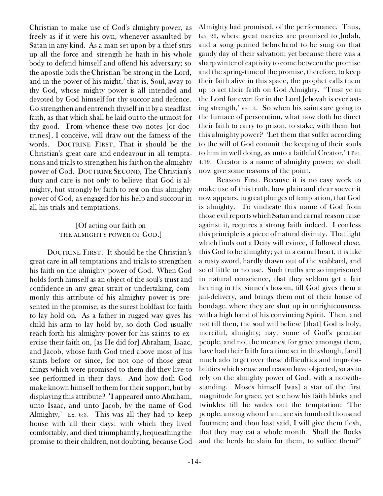Christian to make use of God's almighty power, as freely as if it were his own, whenever assaulted by Satan in any kind. As a man set upon by a thief stirs up all the force and strength he hath in his whole body to defend himself and offend his adversary; so the apostle bids the Christian 'be strong in the Lord, and in the power of his might,' that is, Soul, away to thy God, whose mighty power is all intended and devoted by God himself for thy succor and defence. Go strengthen and entrench thyself in it by a steadfast faith, as that which shall be laid out to the utmost for thy good. From whence these two notes [or doctrines], I conceive, will draw out the fatness of the words. DOCTRINE FIRST, That it should be the Christian's great care and endeavour in all temptations and trials to strengthen his faith on the almighty power of God. DOCTRINE SECOND, The Christian's duty and care is not only to believe that God is almighty, but strongly by faith to rest on this almighty power of God, as engaged for his help and succour in all his trials and temptations.

#### *[Of acting our faith on* THE ALMIGHTY POWER OF GOD.]

DOCTRINE FIRST. It should be the Christian's great care in all temptations and trials*to strengthen his faith on the almighty power of God.* When God holds forth himself as an object of the soul's trust and confidence in any great strait or undertaking, commonly this attribute of his almighty power is presented in the promise, as the surest holdfast for faith to lay hold on. As a father in rugged way gives his child his arm to lay hold by, so doth God usually reach forth his almighty power for his saints to exercise their faith on, [as He did for] Abraham, Isaac, and Jacob, whose faith God tried above most of his saints before or since, for not one of those great things which were promised to them did they live to see performed in their days. And how doth God make known himself to them for their support, but by displaying this attribute? 'I appeared unto Abraham, unto Isaac, and unto Jacob, by the name of God Almighty,' Ex. 6:3. This was all they had to keep house with all their days: with which they lived comfortably, and died triumphantly, bequeathing the promise to their children, not doubting, because God

Almighty had promised, of the performance. Thus, Isa. 26, where great mercies are promised to Judah, and a song penned beforehand to be sung on that gaudy day of their salvation; yet because there was a sharp winter of captivity to come between the promise and the spring-time of the promise, therefore, to keep their faith alive in this space, the prophet calls them up to act their faith on God Almighty. 'Trust ye in the Lord for ever: for in the Lord Jehovah is everlasting strength,' ver. 4. So when his saints are going to the furnace of persecution, what now doth he direct their faith to carry to prison, to stake, with them but this almighty power? 'Let them that suffer according to the will of God commit the keeping of their souls to him in well doing, as unto a faithful Creator,' I Pet. 4:19. Creator is a name of almighty power; we shall now give some reasons of the point.

*Reason First.* Because it is no easy work to make use of this truth, how plain and clear soever it now appears, in great plunges of temptation, *that God is almighty.* To vindicate this name of God from those evil reports which Satan and carnal reason raise against it, requires a strong faith indeed. I confess this principle is a piece of natural divinity. That light which finds out a Deity will evince, if followed close, this God to be almighty; yet in a carnal heart, it is like a rusty sword, hardly drawn out of the scabbard, and so of little or no use. Such truths are so imprisoned in natural conscience, that they seldom get a fair hearing in the sinner's bosom, till God gives them a jail-delivery, and brings them out of their house of bondage, where they are shut up in unrighteousness with a high hand of his convincing Spirit. Then, and not till then, the soul will believe [that] God is holy, merciful, almighty; nay, some of God's peculiar people, and not the meanest for grace amongst them, have had their faith for a time set in this slough, [and] much ado to get over these difficulties and improbabilities which sense and reason have objected, so as to rely on the almighty power of God, with a notwithstanding. Moses himself [was] a star of the first magnitude for grace, yet see how his faith blinks and twinkles till he wades out the temptation: 'The people, among whom I am, are six hundred thousand footmen; and thou hast said, I will give them flesh, that they may eat a whole month. Shall the flocks and the herds be slain for them, to suffice them?'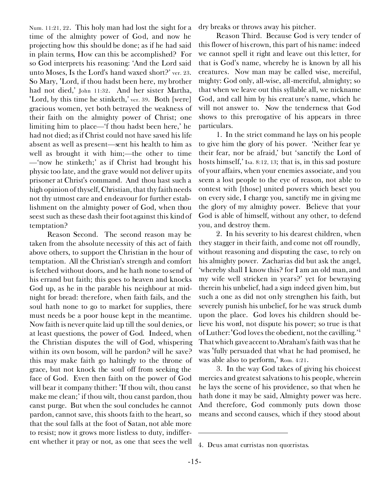Num. 11:21, 22. This holy man had lost the sight for a time of the almighty power of God, and now he projecting how this should be done; as if he had said in plain terms, How can this be accomplished? For so God interprets his reasoning: 'And the Lord said unto Moses, Is the Lord's hand waxed short?' ver. 23. So Mary, <Lord, if thou hadst been here, my brother had not died,' John 11:32. And her sister Martha, 'Lord, by this time he stinketh,' ver. 39. Both [were] gracious women, yet both betrayed the weakness of their faith on the almighty power of Christ; one limiting him to *place*—'f thou hadst been here,' he had not died; as if Christ could not have saved his life absent as well as present—sent his health to him as well as brought it with him;—the other to *time* —'now he stinketh;' as if Christ had brought his physic too late, and the grave would not deliver up its prisoner at Christ's command. And thou hast such a high opinion of thyself, Christian, that thy faith needs not thy utmost care and endeavour for further establishment on the almighty power of God, when thou seest such as these dash their foot against this kind of temptation?

*Reason Second.* The second reason may be taken from the absolute necessity of this act of faith above others, to support the Christian in the hour of temptation. All the Christian's strength and comfort is fetched without doors, and he hath none to send of his errand but faith; this goes to heaven and knocks God up, as he in the parable his neighbour at midnight for bread: therefore, when faith fails, and the soul hath none to go to market for supplies, there must needs be a poor house kept in the meantime. Now faith is never quite laid up till the soul denies, or at least questions, the power of God. Indeed, when the Christian disputes the will of God, whispering within its own bosom, will he pardon? will he save? this may make faith go haltingly to the throne of grace, but not knock the soul off from seeking the face of God. Even then faith on the power of God will bear it company thither: 'If thou wilt, thou canst make me clean;' if thou wilt, thou canst pardon, thou canst purge. But when the soul concludes he cannot pardon, cannot save, this shoots faith to the heart, so that the soul falls at the foot of Satan, not able more to resist; now it grows more listless to duty, indifferent whether it pray or not, as one that sees the well

dry breaks or throws away his pitcher.

*Reason Third.* Because God is very tender of this flower of his crown, this part of his name: indeed we cannot spell it right and leave out this letter, for that is God's name, whereby he is known by all his creatures. Now man may be called wise, merciful, mighty: God only, all-wise, all-merciful, almighty; so that when we leave out this syllable *all,* we nickname God, and call him by his creature's name, which he will not answer to. Now the tenderness that God shows to this prerogative of his appears in three particulars.

1. In the strict command he lays on his people to give him the glory of his power. 'Neither fear ye their fear, nor be afraid,' but 'sanctify the Lord of hosts himself,' Isa. 8:12, 13; that is, in this sad posture of your affairs, when your enemies associate, and you seem a lost people to the eye of reason, not able to contest with [those] united powers which beset you on every side, I charge you, sanctify me in giving me the glory of my almighty power. Believe that your God is able of himself, without any other, to defend you, and destroy them.

2. In his severity to his dearest children, when they stagger in their faith, and come not off roundly, without reasoning and disputing the case, to rely on his almighty power. Zacharias did but ask the angel, 'whereby shall I know this? for I am an old man, and my wife well stricken in years?' yet for bewraying therein his unbelief, had a sign indeed given him, but such a one as did not only strengthen his faith, but severely punish his unbelief, for he was struck dumb upon the place. God loves his children should believe his word, not dispute his power; so true is that of Luther: <God loves the obedient, not the cavilling.'<sup>4</sup> That which gave accent to Abraham's faith was that he was <fully persuaded that what he had promised, he was able also to perform,' Rom. 4:21.

3. In the way God takes of giving his choicest mercies and greatest salvations to his people, wherein he lays the scene of his providence, so that when he hath done it may be said, Almighty power was here. And therefore, God commonly puts down those means and second causes, which if they stood about

<sup>4.</sup> *Deus amat curristas non quœristas.*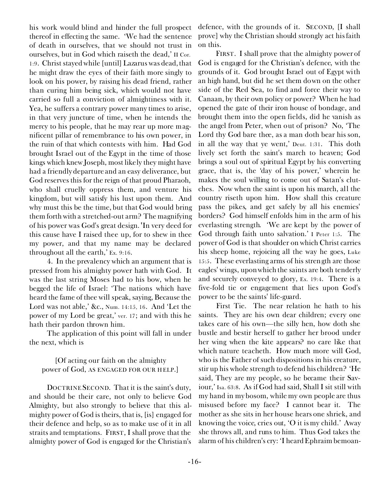his work would blind and hinder the full prospect thereof in effecting the same. 'We had the sentence of death in ourselves, that we should not trust in ourselves, but in God which raiseth the dead,' II Cor. 1:9. Christ stayed while [until] Lazarus was dead, that he might draw the eyes of their faith more singly to look on his power, by raising his dead friend, rather than curing him being sick, which would not have carried so full a conviction of almightiness with it. Yea, he suffers a contrary power many times to arise, in that very juncture of time, when he intends the mercy to his people, that he may rear up more magnificent pillar of remembrance to his own power, in the ruin of that which contests with him. Had God brought Israel out of the Egypt in the time of those kings which knew Joseph, most likely they might have had a friendly departure and an easy deliverance, but God reserves this for the reign of that proud Pharaoh, who shall cruelly oppress them, and venture his kingdom, but will satisfy his lust upon them. And why must this be the time, but that God would bring them forth with a stretched-out arm? The magnifying of his power was God's great design. <In very deed for this cause have I raised thee up, for to shew in thee my power, and that my name may be declared throughout all the earth,' Ex. 9:16.

4. In the prevalency which an argument that is pressed from his almighty power hath with God. It was the last string Moses had to his bow, when he begged the life of Israel: 'The nations which have heard the fame of thee will speak, saying, Because the Lord was not able,' &c., Num. 14:15, 16. And 'Let the power of my Lord be great,' ver. 17; and with this he hath their pardon thrown him.

The application of this point will fall in under the next, which is

*[Of acting our faith on the almighty* power of God, AS ENGAGED FOR OUR HELP.]

DOCTRINESECOND. That it is the saint's duty, and should be their care, not only to believe God Almighty, but also *strongly to believe that this almighty power of God is theirs, that is, [is] engaged for their defence and help,* so as to make use of it in all straits and temptations. FIRST, I shall prove that the almighty power of God is engaged for the Christian's

defence, with the grounds of it. SECOND, [I shall prove] why the Christian should strongly act his faith on this.

FIRST. I shall prove that the almighty power of God *is engaged for the Christian's defence,* with the grounds of it. God brought Israel out of Egypt with an high hand, but did he set them down on the other side of the Red Sea, to find and force their way to Canaan, by their own policy or power? When he had opened the gate of their iron house of bondage, and brought them into the open fields, did he vanish as the angel from Peter, when out of prison? No, 'The Lord thy God bare thee, as a man doth bear his son, in all the way that ye went,' Deut. 1:31. This doth lively set forth the saint's march to heaven; God brings a soul out of spiritual Egypt by his converting grace, that is, the 'day of his power,' wherein he makes the soul willing to come out of Satan's clutches. Now when the saint is upon his march, all the country riseth upon him. How shall this creature pass the pikes, and get safely by all his enemies' borders? God himself enfolds him in the arm of his everlasting strength. 'We are kept by the power of God through faith unto salvation.' I Peter 1:5. The power of God is that shoulder on which Christ carries his sheep home, rejoicing all the way he goes, Luke 15:5. These everlasting arms of his strength are those eagles' wings, upon which the saints are both tenderly and securely conveyed to glory, Ex. 19:4. There is a five-fold tie or engagement that lies upon God's power to be the saints' life-guard.

*First Tie.* The near relation he hath to his saints. They are his own dear children; every one takes care of his own—the silly hen, how doth she bustle and bestir herself to gather her brood under her wing when the kite appears? no care like that which nature teacheth. How much more will God, who is the Father of such dispositions in his creature, stir up his whole strength to defend his children? 'He said, They are my people, so he became their Saviour,' Isa. 63:8. As if God had said, Shall I sit still with my hand in my bosom, while my own people are thus misused before my face? I cannot bear it. The mother as she sits in her house hears one shriek, and knowing the voice, cries out, 'O it is my child.' Away she throws all, and runs to him. Thus God takes the alarm of his children's cry: 'I heard Ephraim bemoan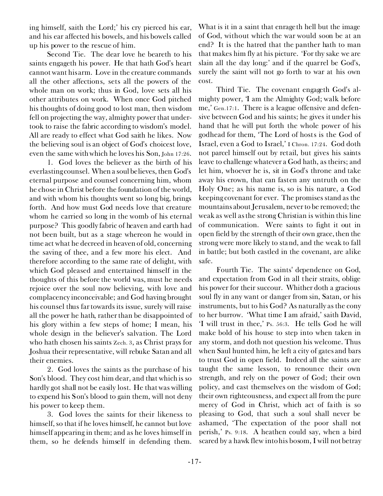ing himself, saith the Lord;' his cry pierced his ear, and his ear affected his bowels, and his bowels called up his power to the rescue of him.

*Second Tie.* The dear love he beareth to his saints engageth his power. He that hath God's heart cannot want his arm. Love in the creature commands all the other affections, sets all the powers of the whole man on work; thus in God, love sets all his other attributes on work. When once God pitched his thoughts of doing good to lost man, then wisdom fell on projecting the way, almighty power that undertook to raise the fabric according to wisdom's model. All are ready to effect what God saith he likes. Now the believing soul is an object of God's choicest love, even the same with which he loves his Son, John 17:26.

1. God loves the believer as the birth of his everlasting counsel. When a soul believes, then God's eternal purpose and counsel concerning him, whom he chose in Christ before the foundation of the world, and with whom his thoughts went so long big, *brings forth.* And how must God needs love that creature whom he carried so long in the womb of his eternal purpose? This goodly fabric of heaven and earth had not been built, but as a stage whereon he would in time act what he decreed in heaven of old, concerning the saving of thee, and a few more his elect. And therefore according to the same rate of delight, with which God pleased and entertained himself in the thoughts of this before the world was, must he needs rejoice over the soul now believing, with love and complacency inconceivable; and God having brought his counsel thus far towards its issue, surely will raise all the power he hath, rather than be disappointed of his glory within a few steps of home; I mean, his whole design in the believer's salvation. The Lord who hath chosen his saints Zech. 3, as Christ prays for Joshua their representative, will rebuke Satan and all their enemies.

2. God loves the saints as the purchase of his Son's blood. They cost him dear, and that which is so hardly got shall not be easily lost. He that was willing to expend his Son's blood to *gain* them, will not deny his power to *keep* them.

3. God loves the saints for their likeness to himself, so that if he loves himself, he cannot but love himself appearing in them; and as he loves himself in them, so he defends himself in defending them.

What is it in a saint that enrageth hell but the image of God, without which the war would soon be at an end? It is the hatred that the panther hath to man that makes him fly at his picture. 'For thy sake we are slain all the day long:' and if the quarrel be God's, surely the saint will not go forth to war at his own cost.

*Third Tie.* The covenant engageth God's almighty power, 'I am the Almighty God; walk before me,' Gen.17:1. There is a league offensive and defensive between God and his saints; he gives it under his hand that he will put forth the whole power of his godhead for them, 'The Lord of hosts is the God of Israel, even a God to Israel,' I Chron. 17:24. God doth not parcel himself out by retail, but gives his saints leave to challenge whatever a God hath, as theirs; and let him, whoever he is, sit in God's throne and take away his crown, that can fasten any untruth on the Holy One; as his name is, so is his nature, a God keeping covenant for ever. The promises stand as the mountains about Jerusalem, never to be removed; the weak as well as the strong Christian is within this line of communication. Were saints to fight it out in open field by the strength of their own grace, then the strong were more likely to stand, and the weak to fall in battle; but both castled in the covenant, are alike safe.

*Fourth Tie.* The saints' dependence on God, and expectation from God in all their straits, oblige his power for their succour. Whither doth a gracious soul fly in any want or danger from sin, Satan, or his instruments, but to his God? As naturally as the cony to her burrow. 'What time I am afraid,' saith David, 'I will trust in thee,' Ps. 56:3. He tells God he will make bold of his house to step into when taken in any storm, and doth not question his welcome. Thus when Saul hunted him, he left a city of gates and bars to trust God in open field. Indeed all the saints are taught the same lesson, to renounce their own strength, and rely on the power of God; their own policy, and cast themselves on the wisdom of God; their own righteousness, and expect all from the pure mercy of God in Christ, which act of faith is so pleasing to God, that such a soul shall never be ashamed, 'The expectation of the poor shall not perish,' Ps. 9:18. A heathen could say, when a bird scared by a hawk flew into his bosom, I will not betray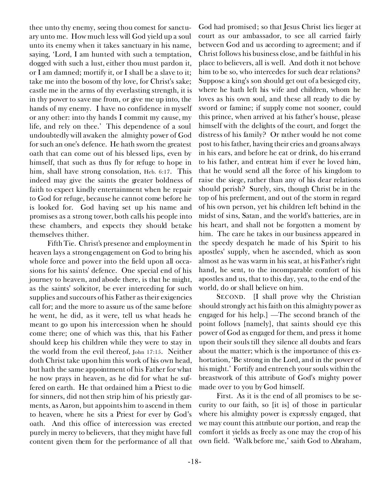thee unto thy enemy, seeing thou comest for sanctuary unto me. How much less will God yield up a soul unto its enemy when it takes sanctuary in his name, saying, 'Lord, I am hunted with such a temptation, dogged with such a lust, either thou must pardon it, or I am damned; mortify it, or I shall be a slave to it; take me into the bosom of thy love, for Christ's sake; castle me in the arms of thy everlasting strength, it is in thy power to save me from, or give me up into, the hands of my enemy. I have no confidence in myself or any other: into thy hands I commit my cause, my life, and rely on thee.' This dependence of a soul undoubtedly will awaken the almighty power of God for such an one's defence. He hath sworn the greatest oath that can come out of his blessed lips, even by himself, that such as thus fly for refuge to hope in him, shall have strong consolation, Heb. 6:17. This indeed may give the saints the greater boldness of faith to expect kindly entertainment when he repair to God for refuge, because he cannot come before he is looked for. God having set up his name and promises as a strong tower, both calls his people into these chambers, and expects they should betake themselves thither.

*Fifth Tie.* Christ's presence and employment in heaven lays a strong engagement on God to bring his whole force and power into the field upon all occasions for his saints' defence. One special end of his journey to heaven, and abode there, is that he might, as the saints' solicitor, be ever interceding for such supplies and succours of his Father as their exigencies call for; and the more to assure us of the same before he went, he did, as it were, tell us what heads he meant to go upon his intercession when he should come there; one of which was this, that his Father should keep his children while they were to stay in the world from the evil thereof, John 17:15. Neither doth Christ take upon him this work of his own head, but hath the same appointment of his Father for what he now prays in heaven, as he did for what he suffered on earth. He that ordained him a Priest to die for sinners, did not then strip him of his priestly garments, as Aaron, but appoints him to ascend in them to heaven, where he sits a Priest for ever by God's oath. And this office of intercession was erected purely in mercy to believers, that they might have full content given them for the performance of all that

God had promised; so that Jesus Christ lies lieger at court as our ambassador, to see all carried fairly between God and us according to agreement; and if Christ follows his business close, and be faithful in his place to believers, all is well. And doth it not behove him to be so, who intercedes for such dear relations? Suppose a king's son should get out of a besieged city, where he hath left his wife and children, whom he loves as his own soul, and these all ready to die by sword or famine; if supply come not sooner, could this prince, when arrived at his father's house, please himself with the delights of the court, and forget the distress of his family? Or rather would he not come post to his father, having their cries and groans always in his ears, and before he eat or drink, do his errand to his father, and entreat him if ever he loved him, that he would send all the force of his kingdom to raise the siege, rather than any of his dear relations should perish? Surely, sirs, though Christ be in the top of his preferment, and out of the storm in regard of his own person, yet his children left behind in the midst of sins, Satan, and the world's batteries, are in his heart, and shall not be forgotten a moment by him. The care he takes in our business appeared in the speedy despatch he made of his Spirit to his apostles' supply, when he ascended, which as soon almost as he was warm in his seat, at his Father's right hand, he sent, to the incomparable comfort of his apostles and us, that to this day, yea, to the end of the world, do or shall believe on him.

SECOND. [I shall prove why the Christian should strongly act his faith on this *almighty power as engaged for his help.]* —The second branch of the point follows [namely], that saints should eye this power of God as engaged for them, and press it home upon their souls till they silence all doubts and fears about the matter; which is the importance of this exhortation, 'Be strong in the Lord, and in the power of his might.' Fortify and entrench your souls within the breastwork of this attribute of God's mighty power made over to you by God himself.

*First.* As it is the end of all promises to be security to our faith, so [it is] of those in particular where his almighty power is expressly engaged, that we may count this attribute our portion, and reap the comfort it yields as freely as one may the crop of his own field. 'Walk before me,' saith God to Abraham,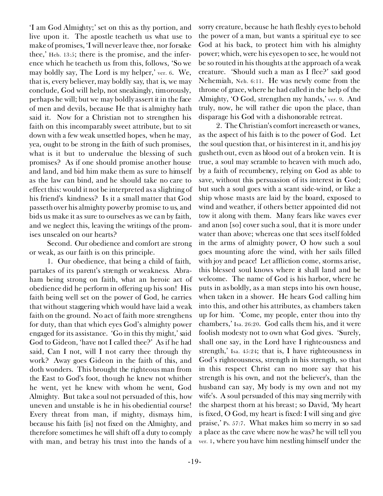'I am God Almighty;' set on this as thy portion, and live upon it. The apostle teacheth us what use to make of promises, 'I will never leave thee, nor forsake thee,' Heb. 13:5; there is the promise, and the inference which he teacheth us from this, follows, 'So we may boldly say, The Lord is my helper,' ver. 6. We, that is, every believer, may boldly say, that is, we may conclude, God *will* help, not sneakingly, timorously, *perhaps* he will; but we may boldly assert it in the face of men and devils, because He that is almighty hath said it. Now for a Christian not to strengthen his faith on this incomparably sweet attribute, but to sit down with a few weak unsettled hopes, when he may, yea, ought to be strong in the faith of such promises, what is it but to undervalue the blessing of such promises? As if one should promise another house and land, and bid him make them as sure to himself as the law can bind, and he should take no care to effect this: would it not be interpreted as a slighting of his friend's kindness? Is it a small matter that God passeth over his almighty power by promise to us, and bids us make it as sure to ourselves as we can by faith, and we neglect this, leaving the writings of the promises unsealed on our hearts?

*Second.* Our obedience and comfort are strong or weak, as our faith is on this principle.

1. Our obedience, *that* being a child of faith, partakes of its parent's strength or weakness. Abraham being strong on faith, what an heroic act of obedience did he perform in offering up his son! His faith being well set on the power of God, he carries that without staggering which would have laid a weak faith on the ground. No act of faith more strengthens for duty, than that which eyes God's almighty power engaged for its assistance. 'Go in this thy might,' said God to Gideon, 'have not I called thee?' As if he had said, Can I not, will I not carry thee through thy work? Away goes Gideon in the faith of this, and doth wonders. This brought the righteous man from the East to God's foot, though he knew not whither he went, yet he knew with whom he went, God Almighty. But take a soul not persuaded of this, how uneven and unstable is he in his obediential course! Every threat from man, if mighty, dismays him, because his faith [is] not fixed on the Almighty, and therefore sometimes he will shift off a duty to comply with man, and betray his trust into the hands of a

sorry creature, because he hath fleshly eyes to behold the power of a man, but wants a spiritual eye to see God at his back, to protect him with his almighty power; which, were his eyes open to see, he would not be so routed in his thoughts at the approach of a weak creature. 'Should such a man as I flee?' said good Nehemiah, Neh. 6:11. He was newly come from the throne of grace, where he had called in the help of the Almighty, 'O God, strengthen my hands,' ver. 9. And truly, now, he will rather die upon the place, than disparage his God with a dishonorable retreat.

2. The Christian's comfort increaseth or wanes, as the aspect of his faith is to the power of God. Let the soul question that, or his interest in it, and his joy gusheth out, even as blood out of a broken vein. It is true, a soul may scramble to heaven with much ado, by a faith of recumbency, relying on God as able to save, without this persuasion of its interest in God; but such a soul goes with a scant side-wind, or like a ship whose masts are laid by the board, exposed to wind and weather, if others better appointed did not tow it along with them. Many fears like waves ever and anon [so] cover such a soul, that it is more under water than above; whereas one that sees itself folded in the arms of almighty power, O how such a soul goes mounting afore the wind, with her sails filled with joy and peace! Let affliction come, storms arise, this blessed soul knows where it shall land and be welcome. The name of God is his harbor, where he puts in as boldly, as a man steps into his own house, when taken in a shower. He hears God calling him into this, and other his attributes, as chambers taken up for him. 'Come, my people, enter thou into thy chambers,' Isa. 26:20. God calls them his, and it were foolish modesty not to own what God gives. 'Surely, shall one say, in the Lord have I righteousness and strength,' Isa. 45:24; that is, I have righteousness in God's righteousness, strength in his strength, so that in this respect Christ can no more say that his strength is his own, and not the believer's, than the husband can say, My body is my own and not my wife's. A soul persuaded of this may sing merrily with the sharpest thorn at his breast; so David, 'My heart is fixed, O God, my heart is fixed: I will sing and give praise,' Ps. 57:7. What makes him so merry in so sad a place as the cave where now he was? he will tell you ver. 1, where you have him nestling himself under the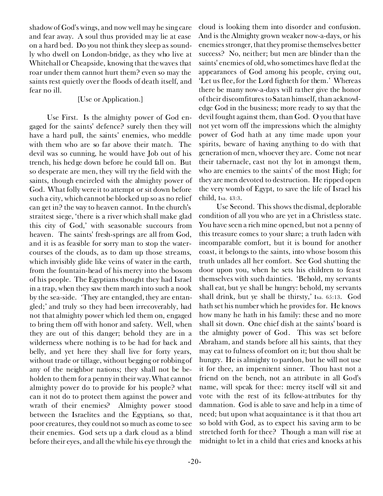shadow of God's wings, and now well may he sing care and fear away. A soul thus provided may lie at ease on a hard bed. Do you not think they sleep as soundly who dwell on London-bridge, as they who live at Whitehall or Cheapside, knowing that the waves that roar under them cannot hurt them? even so may the saints rest quietly over the floods of death itself, and fear no ill.

#### *[Use or Application.]*

*Use First.* Is the almighty power of God engaged for the saints' defence? surely then they will have a hard pull, the saints' enemies, who meddle with them who are so far above their match. The devil was so cunning, he would have Job out of his trench, his hedge down before he could fall on. But so desperate are men, they will try the field with the saints, though encircled with the almighty power of God. What folly were it to attempt or sit down before such a city, which cannot be blocked up so as no relief can get in? the way to heaven cannot. In the church's straitest siege, 'there is a river which shall make glad this city of God,' with seasonable succours from heaven. The saints' fresh-springs are all from God, and it is as feasible for sorry man to stop the watercourses of the clouds, as to dam up those streams, which invisibly glide like veins of water in the earth, from the fountain-head of his mercy into the bosom of his people. The Egyptians thought they had Israel in a trap, when they saw them march into such a nook by the sea-side. 'They are entangled, they are entangled;' and truly so they had been irrecoverably, had not that almighty power which led them on, engaged to bring them off with honor and safety. Well, when they are out of this danger; behold they are in a wilderness where nothing is to be had for back and belly, and yet here they shall live for forty years, without trade or tillage, without begging or robbing of any of the neighbor nations; they shall not be beholden to them for a penny in their way. What cannot almighty power do to provide for his people? what can it not do to protect them against the power and wrath of their enemies? Almighty power stood between the Israelites and the Egyptians, so that, poor creatures, they could not so much as come to see their enemies. God sets up a dark cloud as a blind before their eyes, and all the while his eye through the

cloud is looking them into disorder and confusion. And is the Almighty grown weaker now-a-days, or his enemies stronger, that they promise themselves better success? No, neither; but men are blinder than the saints' enemies of old, who sometimes have fled at the appearances of God among his people, crying out, 'Let us flee, for the Lord fighteth for them.' Whereas there be many now-a-days will rather give the honor of their discomfitures to Satan himself, than acknowledge God in the business; more ready to say that the devil fought against them, than God. O you that have not yet worn off the impressions which the almighty power of God hath at any time made upon your spirits, beware of having anything to do with that generation of men, whoever they are. Come not near their tabernacle, cast not thy lot in amongst them, who are enemies to the saints' of the most High; for they are men devoted to destruction. He ripped open the very womb of Egypt, to save the life of Israel his child, Isa. 43:3.

*Use Second.* This shows the dismal, deplorable condition of all you who are yet in a Christless state. You have seen a rich mine opened, but not a penny of this treasure comes to your share; a truth laden with incomparable comfort, but it is bound for another coast, it belongs to the saints, into whose bosom this truth unlades all her comfort. See God shutting the door upon you, when he sets his children to feast themselves with such dainties. 'Behold, my servants shall eat, but ye shall be hungry: behold, my servants shall drink, but ye shall be thirsty,' Isa. 65:13. God hath set his number which he provides for. He knows how many he hath in his family: these and no more shall sit down. One chief dish at the saints' board is the almighty power of God. This was set before Abraham, and stands before all his saints, that they may eat to fulness of comfort on it; but thou shalt be hungry. He is almighty to pardon, but he will not use it for thee, an impenitent sinner. Thou hast not a friend on the bench, not an attribute in all God's name, will speak for thee: mercy itself will sit and vote with the rest of its fellow-attributes for thy damnation. God is able to save and help in a time of need; but upon what acquaintance is it that thou art so bold with God, as to expect his saving arm to be stretched forth for thee? Though a man will rise at midnight to let in a child that cries and knocks at his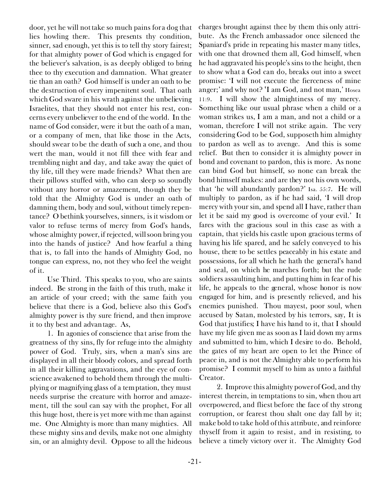door, yet he will not take so much pains for a dog that lies howling there. This presents thy condition, sinner, sad enough, yet this is to tell thy story fairest; for that almighty power of God which is engaged for the believer's salvation, is as deeply obliged to bring thee to thy execution and damnation. What greater tie than an oath? God himself is under an oath to be the destruction of every impenitent soul. That oath which God sware in his wrath against the unbelieving Israelites, that they should not enter his rest, concerns every unbeliever to the end of the world. In the name of God consider, were it but the oath of a man, or a company of men, that like those in the Acts, should swear to be the death of such a one, and thou wert the man, would it not fill thee with fear and trembling night and day, and take away the quiet of thy life, till they were made friends? What then are their pillows stuffed with, who can sleep so soundly without any horror or amazement, though they be told that the Almighty God is under an oath of damning them, body and soul, without timely repentance? O bethink yourselves, sinners, is it wisdom or valor to refuse terms of mercy from God's hands, whose almighty power, if rejected, will soon bring you into the hands of justice? And how fearful a thing *that* is, to fall into the hands of Almighty God, no tongue can express, no, not they who feel the weight of it.

*Use Third.* This speaks to you, who are saints indeed. Be strong in the faith of this truth, make it an article of your creed; with the same faith you believe that there is a God, believe also this God's almighty power is thy sure friend, and then improve it to thy best and advantage. As,

1. In agonies of conscience that arise from the greatness of thy sins, fly for refuge into the almighty power of God. Truly, sirs, when a man's sins are displayed in all their bloody colors, and spread forth in all their killing aggravations, and the eye of conscience awakened to behold them through the multiplying or magnifying glass of a temptation, they must needs surprise the creature with horror and amazement, till the soul can say with the prophet, For all this huge host, there is yet more with me than against me. One Almighty is more than many mighties. All these mighty sins and devils, make not one almighty sin, or an almighty devil. Oppose to all the hideous

charges brought against thee by them this only attribute. As the French ambassador once silenced the Spaniard's pride in repeating his master many titles, with one that drowned them all, God himself, when he had aggravated his people's sins to the height, then to show what a God can do, breaks out into a sweet promise: 'I will not execute the fierceness of mine anger;' and why not? 'I am God, and not man,' Hosea 11:9. I will show the almightiness of my mercy. Something like our usual phrase when a child or a woman strikes us, I am a man, and not a child or a woman, therefore I will not strike again. The very considering God to be God, supposeth him almighty to pardon as well as to avenge. And this is some relief. But then to consider it is almighty power in bond and covenant to pardon, this is more. As none can bind God but himself, so none can break the bond himself makes: and are they not his own words, that 'he will abundantly pardon?' Isa. 55:7. He will multiply to pardon, as if he had said, 'I will drop mercy with your sin, and spend all I have, rather than let it be said my good is overcome of your evil.' It fares with the gracious soul in this case as with a captain, that yields his castle upon gracious terms of having his life spared, and he safely conveyed to his house, there to be settles peaceably in his estate and possessions, for all which he hath the general's hand and seal, on which he marches forth; but the rude soldiers assaulting him, and putting him in fear of his life, he appeals to the general, whose honor is now engaged for him, and is presently relieved, and his enemies punished. Thou mayest, poor soul, when accused by Satan, molested by his terrors, say, It is God that justifies; I have his hand to it, that I should have my life given me as soon as I laid down my arms and submitted to him, which I desire to do. Behold, the gates of my heart are open to let the Prince of peace in, and is not the Almighty able to perform his promise? I commit myself to him as unto a faithful Creator.

2. Improve this almighty power of God, and thy interest therein, in temptations to sin, when thou art overpowered, and fliest before the face of thy strong corruption, or fearest thou shalt one day fall by it; make bold to take hold of this attribute, and reinforce thyself from it again to resist, and in resisting, to believe a timely victory over it. The Almighty God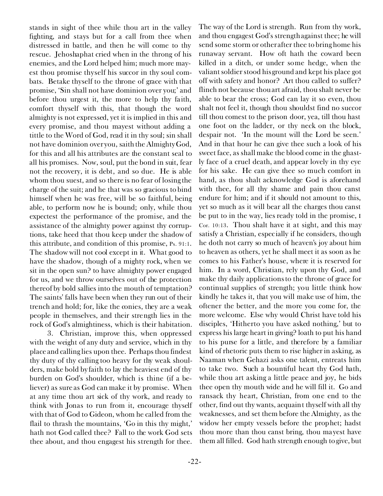stands in sight of thee while thou art in the valley fighting, and stays but for a call from thee when distressed in battle, and then he will come to thy rescue. Jehoshaphat cried when in the throng of his enemies, and the Lord helped him; much more mayest thou promise thyself his succor in thy soul combats. Betake thyself to the throne of grace with that promise, 'Sin shall not have dominion over you;' and before thou urgest it, the more to help thy faith, comfort thyself with this, that though the word *almighty* is not expressed, yet it is implied in this and every promise, and thou mayest without adding a tittle to the Word of God, read it in thy soul; sin shall not have dominion over you, saith the Almighty God, for this and all his attributes are the constant seal to all his promises. Now, soul, put the bond in suit, fear not the recovery, it is debt, and so due. He is able whom thou suest, and so there is no fear of losing the charge of the suit; and he that was so gracious to bind himself when he was free, will be so faithful, being able, to perform now he is bound; only, while thou expectest the performance of the promise, and the assistance of the almighty power against thy corruptions, take heed that thou keep under the shadow of this attribute, and condition of this promise, Ps. 91:1. The shadow will not cool except in it. What good to have the shadow, though of a mighty rock, when we sit in the open sun? to have almighty power engaged for us, and we throw ourselves out of the protection thereof by bold sallies into the mouth of temptation? The saints' falls have been when they run out of their trench and hold; for, like the conies, they are a weak people in themselves, and their strength lies in the rock of God's almightiness, which is their habitation.

3. Christian, improve this, when oppressed with the weight of any duty and service, which in thy place and calling lies upon thee. Perhaps thou findest thy duty of thy calling too heavy for thy weak shoulders, make bold by faith to lay the heaviest end of thy burden on God's shoulder, which is thine (if a believer) as sure as God can make it by promise. When at any time thou art sick of thy work, and ready to think with Jonas to run from it, encourage thyself with that of God to Gideon, whom he called from the flail to thrash the mountains, 'Go in this thy might,' hath not God called thee? Fall to the work God sets thee about, and thou engagest his strength for thee.

send some storm or other after thee to bring home his runaway servant. How oft hath the coward been killed in a ditch, or under some hedge, when the valiant soldier stood his ground and kept his place got off with safety and honor? Art thou called to suffer? flinch not because thou art afraid, thou shalt never be able to bear the cross; God can lay it so even, thou shalt not feel it, though thou shouldst find no succor till thou comest to the prison door, yea, till thou hast one foot on the ladder, or thy neck on the block, despair not. 'In the mount will the Lord be seen.' And in that hour he can give thee such a look of his sweet face, as shall make the blood come in the ghastly face of a cruel death, and appear lovely in thy eye for his sake. He can give thee so much comfort in hand, as thou shalt acknowledge God is aforehand with thee, for all thy shame and pain thou canst endure for him; and if it should not amount to this, yet so much as it will bear all the charges thou canst be put to in the way, lies ready told in the promise, I Cor. 10:13. Thou shalt have it at sight, and this may satisfy a Christian, especially if he considers, though he doth not carry so much of heaven's joy about him to heaven as others, yet he shall meet it as soon as he comes to his Father's house, where it is reserved for him. In a word, Christian, rely upon thy God, and make thy daily applications to the throne of grace for continual supplies of strength; you little think how kindly he takes it, that you will make use of him, the oftener the better, and the more you come for, the more welcome. Else why would Christ have told his disciples, 'Hitherto you have asked nothing,' but to express his large heart in giving? loath to put his hand to his purse for a little, and therefore by a familiar kind of rhetoric puts them to rise higher in asking, as Naaman when Gehazi asks one talent, entreats him to take two. Such a bountiful heart thy God hath, while thou art asking a little peace and joy, he bids thee open thy mouth wide and he will fill it. Go and ransack thy heart, Christian, from one end to the other, find out thy wants, acquaint thyself with all thy weaknesses, and set them before the Almighty, as the widow her empty vessels before the prophet; hadst thou more than thou canst bring, thou mayest have them all filled. God hath strength enough to give, but

The way of the Lord is strength. Run from thy work, and thou engagest God's strength against thee; he will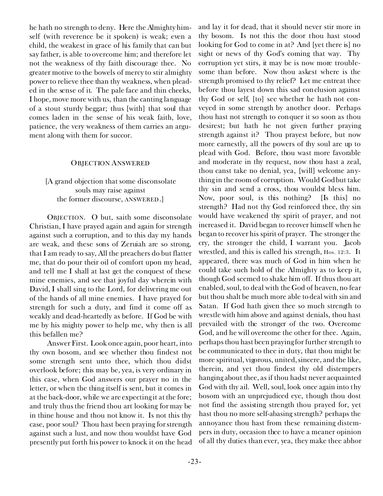he hath no strength to deny. Here the Almighty himself (with reverence be it spoken) is weak; even a child, the weakest in grace of his family that can but say father, is able to overcome him; and therefore let not the weakness of thy faith discourage thee. No greater motive to the bowels of mercy to stir almighty power to relieve thee than thy weakness, when pleaded in the sense of it. The pale face and thin cheeks, I hope, move more with us, than the canting language of a stout sturdy beggar; thus [with] that soul that comes laden in the sense of his weak faith, love, patience, the very weakness of them carries an argument along with them for succor.

#### OBJECTION ANSWERED

#### *[A grand objection that some disconsolate souls may raise against the former discourse,* ANSWERED.]

OBJECTION. O but, saith some disconsolate Christian, I have prayed again and again for strength against such a corruption, and to this day my hands are weak, and these sons of Zeruiah are so strong, that I am ready to say, All the preachers do but flatter me, that do pour their oil of comfort upon my head, and tell me I shall at last get the conquest of these mine enemies, and see that joyful day wherein with David, I shall sing to the Lord, for delivering me out of the hands of all mine enemies. I have prayed for strength for such a duty, and find it come off as weakly and dead-heartedly as before. If God be with me by his mighty power to help me, why then is all this befallen me?

*Answer First.* Look once again, poor heart, into thy own bosom, and see whether thou findest not some strength sent unto thee, which thou didst overlook before; this may be, yea, is very ordinary in this case, when God answers our prayer no in the letter, or when the thing itself is sent, but it comes in at the back-door, while we are expecting it at the fore; and truly thus the friend thou art looking for may be in thine house and thou not know it. Is not this thy case, poor soul? Thou hast been praying for strength against such a lust, and now thou wouldst have God presently put forth his power to knock it on the head and lay it for dead, that it should never stir more in thy bosom. Is not this the door thou hast stood looking for God to come in at? And [yet there is] no sight or news of thy God's coming that way. Thy corruption yet stirs, it may be is now more troublesome than before. Now thou askest where is the strength promised to thy relief? Let me entreat thee before thou layest down this sad conclusion against thy God or self, [to] see whether he hath not conveyed in some strength by another door. Perhaps thou hast not strength to conquer it so soon as thou desirest; but hath he not given further praying strength against it? Thou prayest before, but now more earnestly, all the powers of thy soul are up to plead with God. Before, thou wast more favorable and moderate in thy request, now thou hast a zeal, thou canst take no denial, yea, [will] welcome anything in the room of corruption. Would God but take thy sin and send a cross, thou wouldst bless him. Now, poor soul, is this nothing? [Is this] no strength? Had not thy God reinforced thee, thy sin would have weakened thy spirit of prayer, and not increased it. David began to recover himself when he began to recover his spirit of prayer. The stronger the cry, the stronger the child, I warrant you. Jacob wrestled, and this is called his strength, Hos. 12:3. It appeared, there was much of God in him when he could take such hold of the Almighty as to keep it, though God seemed to shake him off. If thus thou art enabled, soul, to deal with the God of heaven, no fear but thou shalt be much more able to deal with sin and Satan. If God hath given thee so much strength to wrestle with him above and against denials, thou hast prevailed with the stronger of the two. Overcome God, and he will overcome the other for thee. Again, perhaps thou hast been praying for further strength to be communicated to thee in duty, that thou might be more spiritual, vigorous, united, sincere, and the like, therein, and yet thou findest thy old distempers hanging about thee, as if thou hadst never acquainted God with thy ail. Well, soul, look once again into thy bosom with an unprejudiced eye, though thou dost not find the assisting strength thou prayed for, yet hast thou no more self-abasing strength? perhaps the annoyance thou hast from these remaining distempers in duty, occasion thee to have a meaner opinion of all thy duties than ever, yea, they make thee abhor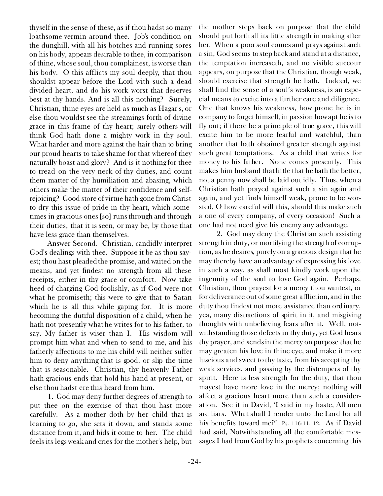thyself in the sense of these, as if thou hadst so many loathsome vermin around thee. Job's condition on the dunghill, with all his botches and running sores on his body, appears desirable to thee, in comparison of thine, whose soul, thou complainest, is worse than his body. O this afflicts my soul deeply, that thou shouldst appear before the Lord with such a dead divided heart, and do *his* work worst that deserves best at thy hands. And is all this nothing? Surely, Christian, thine eyes are held as much as Hagar's, or else thou wouldst see the streamings forth of divine grace in this frame of thy heart; surely others will think God hath done a mighty work in thy soul. What harder and more against the hair than to bring our proud hearts to take shame for that whereof they naturally boast and glory? And is it nothing for thee to tread on the very neck of thy duties, and count them matter of thy humiliation and abasing, which others make the matter of their confidence and selfrejoicing? Good store of virtue hath gone from Christ to dry this issue of pride in thy heart, which sometimes in gracious ones [so] runs through and through their duties, that it is seen, or may be, by those that have less grace than themselves.

*Answer Second.* Christian, candidly interpret God's dealings with thee. Suppose it be as thou sayest; thou hast pleaded the promise, and waited on the means, and yet findest no strength from all these receipts, either in thy grace or comfort. Now take heed of charging God foolishly, as if God were not what he promiseth; this were to give that to Satan which he is all this while gaping for. It is more becoming the dutiful disposition of a child, when he hath not presently what he writes for to his father, to say, My father is wiser than I. His wisdom will prompt him what and when to send to me, and his fatherly affections to me his child will neither suffer him to deny anything that is good, or slip the time that is seasonable. Christian, thy heavenly Father hath gracious ends that hold his hand at present, or else thou hadst ere this heard from him.

1. God may deny further degrees of strength to put thee on the exercise of that thou hast more carefully. As a mother doth by her child that is learning to go, she sets it down, and stands some distance from it, and bids it come to her. The child feels its legs weak and cries for the mother's help, but

the mother steps back on purpose that the child should put forth all its little strength in making after her. When a poor soul comes and prays against such a sin, God seems to step back and stand at a distance, the temptation increaseth, and no visible succour appears, on purpose that the Christian, though weak, should exercise that strength he hath. Indeed, we shall find the sense of a soul's weakness, is an especial means to excite into a further care and diligence. One that knows his weakness, how prone he is in company to forget himself, in passion how apt he is to fly out; if there be a principle of true grace, this will excite him to be more fearful and watchful, than another that hath obtained greater strength against such great temptations. As a child that writes for money to his father. None comes presently. This makes him husband that little that he hath the better, not a penny now shall be laid out idly. Thus, when a Christian hath prayed against such a sin again and again, and yet finds himself weak, prone to be worsted, O how careful *will* this, *should* this make such a one of every company, of every occasion! Such a one had not need give his enemy any advantage.

2. God may deny the Christian such assisting strength in duty, or mortifying the strength of corruption, as he desires, purely on a gracious design that he may thereby have an advantage of expressing his love in such a way, as shall most kindly work upon the ingenuity of the soul to love God again. Perhaps, Christian, thou prayest for a mercy thou wantest, or for deliverance out of some great affliction, and in the duty thou findest not more assistance than ordinary, yea, many distractions of spirit in it, and misgiving thoughts with unbelieving fears after it. Well, notwithstanding those defects in thy duty, yet God hears thy prayer, and sends in the mercy on purpose that he may greaten his love in thine eye, and make it more luscious and sweet to thy taste, from his accepting thy weak services, and passing by the distempers of thy spirit. Here is less strength for the duty, that thou mayest have more love in the mercy; nothing will affect a gracious heart more than such a consideration. See it in David, 'I said in my haste, All men are liars. What shall I render unto the Lord for all his benefits toward me?' Ps. 116:11, 12. As if David had said, Notwithstanding all the comfortable messages I had from God by his prophets concerning this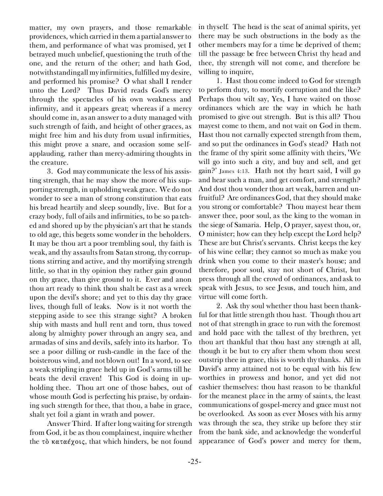matter, my own prayers, and those remarkable providences, which carried in them a partial answer to them, and performance of what was promised, yet I betrayed much unbelief, questioning the truth of the one, and the return of the other; and hath God, notwithstanding all my infirmities, fulfilled my desire, and performed his promise? O what shall I render unto the Lord? Thus David reads God's mercy through the spectacles of his own weakness and infirmity, and it appears great; whereas if a mercy should come in, as an answer to a duty managed with such strength of faith, and height of other graces, as might free him and his duty from usual infirmities, this might prove a snare, and occasion some selfapplauding, rather than mercy-admiring thoughts in the creature.

3. God may communicate the less of his assisting strength, that he may show the more of his supporting strength, in upholding weak grace. We do not wonder to see a man of strong constitution that eats his bread heartily and sleep soundly, live. But for a crazy body, full of ails and infirmities, to be so patched and shored up by the physician's art that he stands to old age, this begets some wonder in the beholders. It may be thou art a poor trembling soul, thy faith is weak, and thy assaults from Satan strong, thy corruptions stirring and active, and thy mortifying strength little, so that in thy opinion they rather gain ground on thy grace, than give ground to it. Ever and anon thou art ready to think thou shalt be cast as a wreck upon the devil's shore; and yet to this day thy grace lives, though full of leaks. Now is it not worth the stepping aside to see this strange sight? A broken ship with masts and hull rent and torn, thus towed along by almighty power through an angry sea, and armadas of sins and devils, safely into its harbor. To see a poor dilling or rush-candle in the face of the boisterous wind, and not blown out! In a word, to see a weak stripling in grace held up in God's arms till he beats the devil craven! This God is doing in upholding thee. Thou art one of those babes, out of whose mouth God is perfecting his praise, by ordaining such strength for thee, that thou, a babe in grace, shalt yet foil a giant in wrath and power.

*Answer Third.* If after long waiting for strength from God, it be as thou complainest, inquire whether the τὸ καταέχοις, that which hinders, be not found

in thyself. The head is the seat of animal spirits, yet there may be such obstructions in the body as the other members may for a time be deprived of them; till the passage be free between Christ thy head and thee, thy strength will not come, and therefore be willing to inquire,

1. Hast thou come indeed to God for strength to perform duty, to mortify corruption and the like? Perhaps thou wilt say, Yes, I have waited on those ordinances which are the way in which he hath promised to give out strength. But is this all? Thou mayest come to them, and not wait on God in them. Hast thou not carnally expected strength from them, and so put the ordinances in God's stead? Hath not the frame of thy spirit some affinity with theirs, <We will go into such a city, and buy and sell, and get gain?' James 4:13. Hath not thy heart said, I will go and hear such a man, and get comfort, and strength? And dost thou wonder thou art weak, barren and unfruitful? Are ordinances God, that they should make you strong or comfortable? Thou mayest hear them answer thee, poor soul, as the king to the woman in the siege of Samaria. Help, O prayer, sayest thou, or, O minister; how can they help except the Lord help? These are but Christ's servants. Christ keeps the key of his wine cellar; they cannot so much as make you drink when you come to their master's house; and therefore, poor soul, stay not short of Christ, but press through all the crowd of ordinances, and ask to speak with Jesus, to see Jesus, and touch him, and virtue will come forth.

2. Ask thy soul whether thou hast been thankful for that little strength thou hast. Though thou art not of that strength in grace to run with the foremost and hold pace with the tallest of thy brethren, yet thou art thankful that thou hast any strength at all, though it be but to cry after them whom thou seest outstrip thee in grace, this is worth thy thanks. All in David's army attained not to be equal with his few worthies in prowess and honor, and yet did not cashier themselves: thou hast reason to be thankful for the meanest place in the army of saints, the least communications of gospel-mercy and grace must not be overlooked. As soon as ever Moses with his army was through the sea, they strike up before they stir from the bank side, and acknowledge the wonderful appearance of God's power and mercy for them,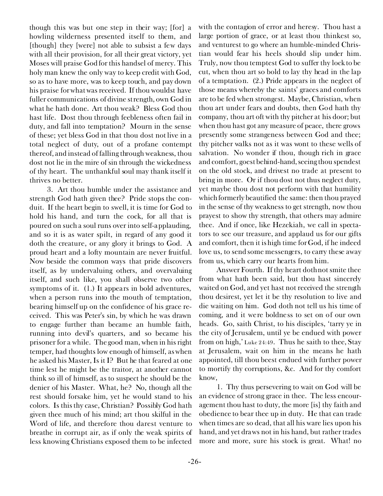though this was but one step in their way; [for] a howling wilderness presented itself to them, and [though] they [were] not able to subsist a few days with all their provision, for all their great victory, yet Moses will praise God for this handsel of mercy. This holy man knew the only way to keep credit with God, so as to have more, was to keep touch, and pay down his praise for what was received. If thou wouldst have fuller communications of divine strength, own God in what he hath done. Art thou weak? Bless God thou hast life. Dost thou through feebleness often fail in duty, and fall into temptation? Mourn in the sense of these; yet bless God in that thou dost not live in a total neglect of duty, out of a profane contempt thereof, and instead of falling through weakness, thou dost not lie in the mire of sin through the wickedness of thy heart. The unthankful soul may thank itself it thrives no better.

3. Art thou humble under the assistance and strength God hath given thee? Pride stops the conduit. If the heart begin to swell, it is time for God to hold his hand, and turn the cock, for all that is poured on such a soul runs over into self-applauding, and so it is as water spilt, in regard of any good it doth the creature, or any glory it brings to God. A proud heart and a lofty mountain are never fruitful. Now beside the common ways that pride discovers itself, as by undervaluing others, and overvaluing itself, and such like, you shall observe two other symptoms of it. (1.) It appears in bold adventures, when a person runs into the mouth of temptation, bearing himself up on the confidence of his grace received. This was Peter's sin, by which he was drawn to engage further than became an humble faith, running into devil's quarters, and so became his prisoner for a while. The good man, when in his right temper, had thoughts low enough of himself, as when he asked his Master, Is it I? But he that feared at one time lest he might be the traitor, at another cannot think so ill of himself, as to suspect he should be the denier of his Master. What, he? No, though all the rest should forsake him, yet he would stand to his colors. Is this thy case, Christian? Possibly God hath given thee much of his mind; art thou skilful in the Word of life, and therefore thou darest venture to breathe in corrupt air, as if only the weak spirits of less knowing Christians exposed them to be infected

with the contagion of error and heresy. Thou hast a large portion of grace, or at least thou thinkest so, and venturest to go where an humble-minded Christian would fear his heels should slip under him. Truly, now thou temptest God to suffer thy lock to be cut, when thou art so bold to lay thy head in the lap of a temptation. (2.) Pride appears in the neglect of those means whereby the saints' graces and comforts are to be fed when strongest. Maybe, Christian, when thou art under fears and doubts, then God hath thy company, thou art oft with thy pitcher at his door; but when thou hast got any measure of peace, there grows presently some strangeness between God and thee; thy pitcher walks not as it was wont to these wells of salvation. No wonder if thou, though rich in grace and comfort, goest behind-hand, seeing thou spendest on the old stock, and drivest no trade at present to bring in more. Or if thou dost not thus neglect duty, yet maybe thou dost not perform with that humility which formerly beautified the same: then thou prayed in the sense of thy weakness to get strength, now thou prayest to show thy strength, that others may admire thee. And if once, like Hezekiah, we call in spectators to see our treasure, and applaud us for our gifts and comfort, then it is high time for God, if he indeed love us, to send some messengers, to carry these away from us, which carry our hearts from him.

*Answer Fourth.* If thy heart doth not smite thee from what hath been said, but thou hast sincerely waited on God, and yet hast not received the strength thou desirest, yet let it be thy resolution to live and die waiting on him. God doth not tell us his time of coming, and it were boldness to set on of our own heads. Go, saith Christ, to his disciples, 'tarry ye in the city of Jerusalem, until ye be endued with power from on high,' Luke 24:49. Thus he saith to thee, Stay at Jerusalem, wait on him in the means he hath appointed, till thou beest endued with further power to mortify thy corruptions, &c. And for thy comfort know,

1. Thy thus persevering to wait on God will be an evidence of strong grace in thee. The less encouragement thou hast to duty, the more [is] thy faith and obedience to bear thee up in duty. He that can trade when times are so dead, that all his ware lies upon his hand, and yet draws not in his hand, but rather trades more and more, sure his stock is great. What! no